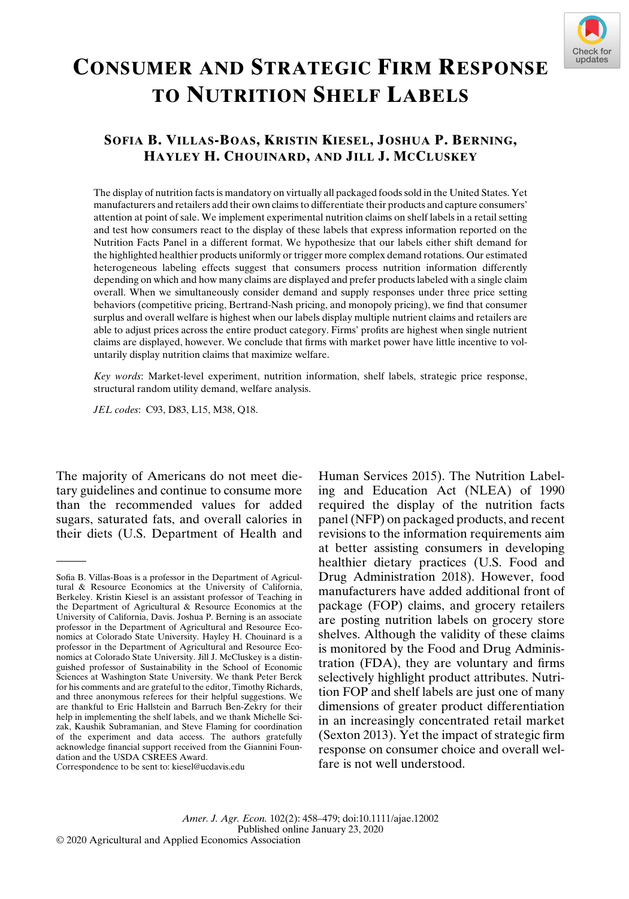

# CONSUMER AND STRATEGIC FIRM RESPONSE TO NUTRITION SHELF LABELS

# SOFIA B. VILLAS-BOAS, KRISTIN KIESEL, JOSHUA P. BERNING, HAYLEY H. CHOUINARD, AND JILL J. MCCLUSKEY

The display of nutrition facts is mandatory on virtually all packaged foods sold in the United States. Yet manufacturers and retailers add their own claims to differentiate their products and capture consumers' attention at point of sale. We implement experimental nutrition claims on shelf labels in a retail setting and test how consumers react to the display of these labels that express information reported on the Nutrition Facts Panel in a different format. We hypothesize that our labels either shift demand for the highlighted healthier products uniformly or trigger more complex demand rotations. Our estimated heterogeneous labeling effects suggest that consumers process nutrition information differently depending on which and how many claims are displayed and prefer products labeled with a single claim overall. When we simultaneously consider demand and supply responses under three price setting behaviors (competitive pricing, Bertrand-Nash pricing, and monopoly pricing), we find that consumer surplus and overall welfare is highest when our labels display multiple nutrient claims and retailers are able to adjust prices across the entire product category. Firms' profits are highest when single nutrient claims are displayed, however. We conclude that firms with market power have little incentive to voluntarily display nutrition claims that maximize welfare.

Key words: Market-level experiment, nutrition information, shelf labels, strategic price response, structural random utility demand, welfare analysis.

JEL codes: C93, D83, L15, M38, Q18.

The majority of Americans do not meet dietary guidelines and continue to consume more than the recommended values for added sugars, saturated fats, and overall calories in their diets (U.S. Department of Health and Human Services 2015). The Nutrition Labeling and Education Act (NLEA) of 1990 required the display of the nutrition facts panel (NFP) on packaged products, and recent revisions to the information requirements aim at better assisting consumers in developing healthier dietary practices (U.S. Food and Drug Administration 2018). However, food manufacturers have added additional front of package (FOP) claims, and grocery retailers are posting nutrition labels on grocery store shelves. Although the validity of these claims is monitored by the Food and Drug Administration (FDA), they are voluntary and firms selectively highlight product attributes. Nutrition FOP and shelf labels are just one of many dimensions of greater product differentiation in an increasingly concentrated retail market (Sexton 2013). Yet the impact of strategic firm response on consumer choice and overall welfare is not well understood.

Sofia B. Villas-Boas is a professor in the Department of Agricultural & Resource Economics at the University of California, Berkeley. Kristin Kiesel is an assistant professor of Teaching in the Department of Agricultural & Resource Economics at the University of California, Davis. Joshua P. Berning is an associate professor in the Department of Agricultural and Resource Economics at Colorado State University. Hayley H. Chouinard is a professor in the Department of Agricultural and Resource Economics at Colorado State University. Jill J. McCluskey is a distinguished professor of Sustainability in the School of Economic Sciences at Washington State University. We thank Peter Berck for his comments and are grateful to the editor, Timothy Richards, and three anonymous referees for their helpful suggestions. We are thankful to Eric Hallstein and Barruch Ben-Zekry for their help in implementing the shelf labels, and we thank Michelle Scizak, Kaushik Subramanian, and Steve Flaming for coordination of the experiment and data access. The authors gratefully acknowledge financial support received from the Giannini Foundation and the USDA CSREES Award.

Correspondence to be sent to: kiesel@ucdavis.edu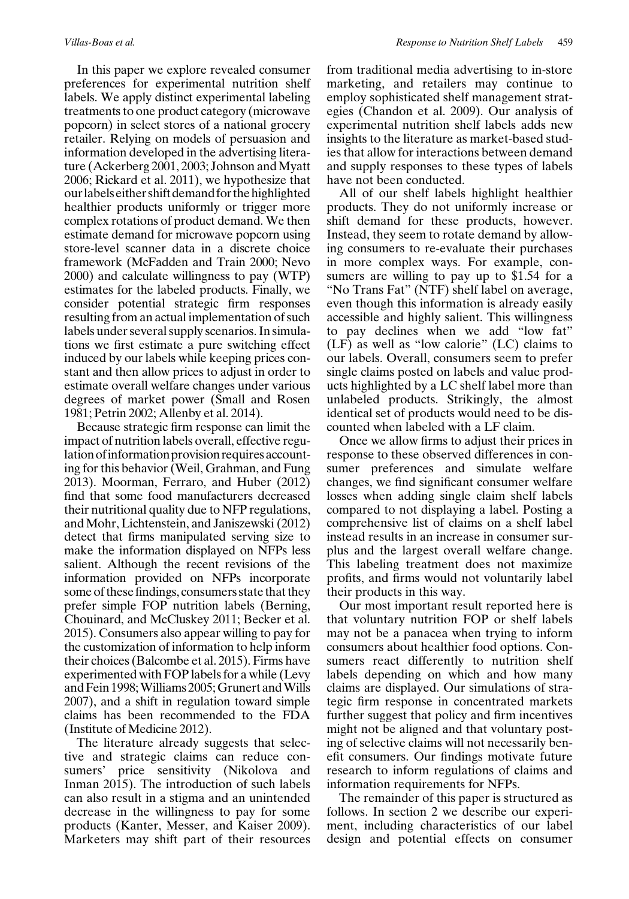In this paper we explore revealed consumer preferences for experimental nutrition shelf labels. We apply distinct experimental labeling treatments to one product category (microwave popcorn) in select stores of a national grocery retailer. Relying on models of persuasion and information developed in the advertising literature (Ackerberg 2001, 2003; Johnson and Myatt 2006; Rickard et al. 2011), we hypothesize that ourlabels either shift demand for the highlighted healthier products uniformly or trigger more complex rotations of product demand. We then estimate demand for microwave popcorn using store-level scanner data in a discrete choice framework (McFadden and Train 2000; Nevo 2000) and calculate willingness to pay (WTP) estimates for the labeled products. Finally, we consider potential strategic firm responses resulting from an actual implementation of such labels under several supply scenarios. In simulations we first estimate a pure switching effect induced by our labels while keeping prices constant and then allow prices to adjust in order to estimate overall welfare changes under various degrees of market power (Small and Rosen 1981; Petrin 2002; Allenby et al. 2014).

Because strategic firm response can limit the impact of nutrition labels overall, effective regulation of information provision requires accounting for this behavior (Weil, Grahman, and Fung 2013). Moorman, Ferraro, and Huber (2012) find that some food manufacturers decreased their nutritional quality due to NFP regulations, and Mohr, Lichtenstein, and Janiszewski (2012) detect that firms manipulated serving size to make the information displayed on NFPs less salient. Although the recent revisions of the information provided on NFPs incorporate some of these findings, consumers state that they prefer simple FOP nutrition labels (Berning, Chouinard, and McCluskey 2011; Becker et al. 2015). Consumers also appear willing to pay for the customization of information to help inform their choices (Balcombe et al. 2015). Firms have experimented with FOP labels for a while (Levy and Fein 1998; Williams 2005; Grunert and Wills 2007), and a shift in regulation toward simple claims has been recommended to the FDA (Institute of Medicine 2012).

The literature already suggests that selective and strategic claims can reduce consumers' price sensitivity (Nikolova and Inman 2015). The introduction of such labels can also result in a stigma and an unintended decrease in the willingness to pay for some products (Kanter, Messer, and Kaiser 2009). Marketers may shift part of their resources from traditional media advertising to in-store marketing, and retailers may continue to employ sophisticated shelf management strategies (Chandon et al. 2009). Our analysis of experimental nutrition shelf labels adds new insights to the literature as market-based studies that allow for interactions between demand and supply responses to these types of labels have not been conducted.

All of our shelf labels highlight healthier products. They do not uniformly increase or shift demand for these products, however. Instead, they seem to rotate demand by allowing consumers to re-evaluate their purchases in more complex ways. For example, consumers are willing to pay up to \$1.54 for a "No Trans Fat" (NTF) shelf label on average, even though this information is already easily accessible and highly salient. This willingness to pay declines when we add "low fat" (LF) as well as "low calorie" (LC) claims to our labels. Overall, consumers seem to prefer single claims posted on labels and value products highlighted by a LC shelf label more than unlabeled products. Strikingly, the almost identical set of products would need to be discounted when labeled with a LF claim.

Once we allow firms to adjust their prices in response to these observed differences in consumer preferences and simulate welfare changes, we find significant consumer welfare losses when adding single claim shelf labels compared to not displaying a label. Posting a comprehensive list of claims on a shelf label instead results in an increase in consumer surplus and the largest overall welfare change. This labeling treatment does not maximize profits, and firms would not voluntarily label their products in this way.

Our most important result reported here is that voluntary nutrition FOP or shelf labels may not be a panacea when trying to inform consumers about healthier food options. Consumers react differently to nutrition shelf labels depending on which and how many claims are displayed. Our simulations of strategic firm response in concentrated markets further suggest that policy and firm incentives might not be aligned and that voluntary posting of selective claims will not necessarily benefit consumers. Our findings motivate future research to inform regulations of claims and information requirements for NFPs.

The remainder of this paper is structured as follows. In section 2 we describe our experiment, including characteristics of our label design and potential effects on consumer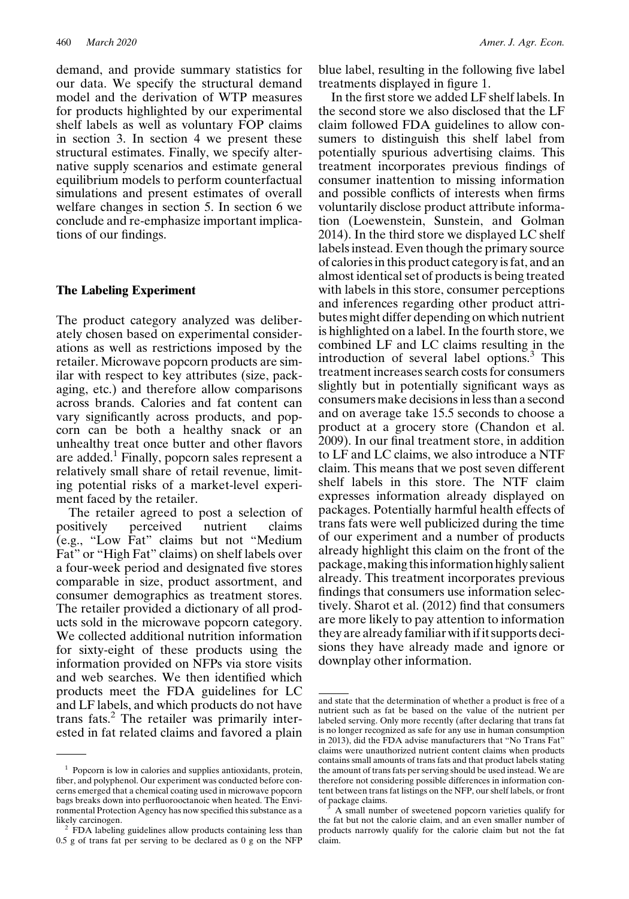demand, and provide summary statistics for our data. We specify the structural demand model and the derivation of WTP measures for products highlighted by our experimental shelf labels as well as voluntary FOP claims in section 3. In section 4 we present these structural estimates. Finally, we specify alternative supply scenarios and estimate general equilibrium models to perform counterfactual simulations and present estimates of overall welfare changes in section 5. In section 6 we conclude and re-emphasize important implications of our findings.

#### The Labeling Experiment

The product category analyzed was deliberately chosen based on experimental considerations as well as restrictions imposed by the retailer. Microwave popcorn products are similar with respect to key attributes (size, packaging, etc.) and therefore allow comparisons across brands. Calories and fat content can vary significantly across products, and popcorn can be both a healthy snack or an unhealthy treat once butter and other flavors are added.<sup>1</sup> Finally, popcorn sales represent a relatively small share of retail revenue, limiting potential risks of a market-level experiment faced by the retailer.

The retailer agreed to post a selection of positively perceived nutrient claims (e.g., "Low Fat" claims but not "Medium Fat" or "High Fat" claims) on shelf labels over a four-week period and designated five stores comparable in size, product assortment, and consumer demographics as treatment stores. The retailer provided a dictionary of all products sold in the microwave popcorn category. We collected additional nutrition information for sixty-eight of these products using the information provided on NFPs via store visits and web searches. We then identified which products meet the FDA guidelines for LC and LF labels, and which products do not have trans fats.<sup>2</sup> The retailer was primarily interested in fat related claims and favored a plain blue label, resulting in the following five label treatments displayed in figure 1.

In the first store we added LF shelf labels. In the second store we also disclosed that the LF claim followed FDA guidelines to allow consumers to distinguish this shelf label from potentially spurious advertising claims. This treatment incorporates previous findings of consumer inattention to missing information and possible conflicts of interests when firms voluntarily disclose product attribute information (Loewenstein, Sunstein, and Golman 2014). In the third store we displayed LC shelf labels instead. Even though the primary source of calories in this product category is fat, and an almost identical set of products is being treated with labels in this store, consumer perceptions and inferences regarding other product attributes might differ depending on which nutrient is highlighted on a label. In the fourth store, we combined LF and LC claims resulting in the introduction of several label options.3 This treatment increases search costs for consumers slightly but in potentially significant ways as consumers make decisions in less than a second and on average take 15.5 seconds to choose a product at a grocery store (Chandon et al. 2009). In our final treatment store, in addition to LF and LC claims, we also introduce a NTF claim. This means that we post seven different shelf labels in this store. The NTF claim expresses information already displayed on packages. Potentially harmful health effects of trans fats were well publicized during the time of our experiment and a number of products already highlight this claim on the front of the package,making thisinformation highly salient already. This treatment incorporates previous findings that consumers use information selectively. Sharot et al. (2012) find that consumers are more likely to pay attention to information they are already familiar with if it supports decisions they have already made and ignore or downplay other information.

<sup>&</sup>lt;sup>1</sup> Popcorn is low in calories and supplies antioxidants, protein, fiber, and polyphenol. Our experiment was conducted before concerns emerged that a chemical coating used in microwave popcorn bags breaks down into perfluorooctanoic when heated. The Environmental Protection Agency has now specified this substance as a

likely carcinogen.<br><sup>2</sup> FDA labeling guidelines allow products containing less than 0.5 g of trans fat per serving to be declared as 0 g on the NFP

and state that the determination of whether a product is free of a nutrient such as fat be based on the value of the nutrient per labeled serving. Only more recently (after declaring that trans fat is no longer recognized as safe for any use in human consumption in 2013), did the FDA advise manufacturers that "No Trans Fat" claims were unauthorized nutrient content claims when products contains small amounts of trans fats and that product labels stating the amount of trans fats per serving should be used instead. We are therefore not considering possible differences in information content between trans fat listings on the NFP, our shelf labels, or front

A small number of sweetened popcorn varieties qualify for the fat but not the calorie claim, and an even smaller number of products narrowly qualify for the calorie claim but not the fat claim.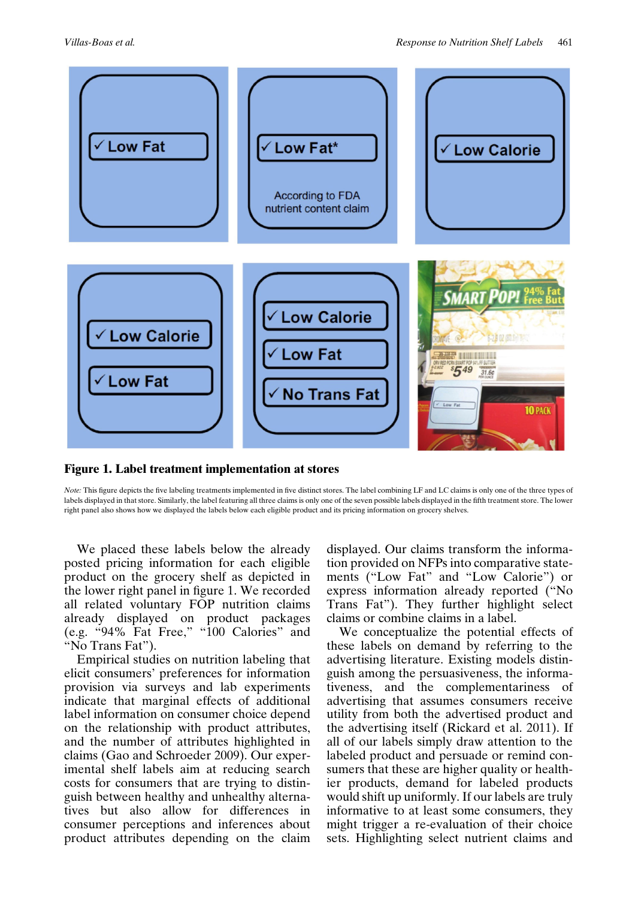

Figure 1. Label treatment implementation at stores

Note: This figure depicts the five labeling treatments implemented in five distinct stores. The label combining LF and LC claims is only one of the three types of labels displayed in that store. Similarly, the label featuring all three claims is only one of the seven possible labels displayed in the fifth treatment store. The lower right panel also shows how we displayed the labels below each eligible product and its pricing information on grocery shelves.

We placed these labels below the already posted pricing information for each eligible product on the grocery shelf as depicted in the lower right panel in figure 1. We recorded all related voluntary FOP nutrition claims already displayed on product packages (e.g. "94% Fat Free," "100 Calories" and "No Trans Fat").

Empirical studies on nutrition labeling that elicit consumers' preferences for information provision via surveys and lab experiments indicate that marginal effects of additional label information on consumer choice depend on the relationship with product attributes, and the number of attributes highlighted in claims (Gao and Schroeder 2009). Our experimental shelf labels aim at reducing search costs for consumers that are trying to distinguish between healthy and unhealthy alternatives but also allow for differences in consumer perceptions and inferences about product attributes depending on the claim

displayed. Our claims transform the information provided on NFPs into comparative statements ("Low Fat" and "Low Calorie") or express information already reported ("No Trans Fat"). They further highlight select claims or combine claims in a label.

We conceptualize the potential effects of these labels on demand by referring to the advertising literature. Existing models distinguish among the persuasiveness, the informativeness, and the complementariness of advertising that assumes consumers receive utility from both the advertised product and the advertising itself (Rickard et al. 2011). If all of our labels simply draw attention to the labeled product and persuade or remind consumers that these are higher quality or healthier products, demand for labeled products would shift up uniformly. If our labels are truly informative to at least some consumers, they might trigger a re-evaluation of their choice sets. Highlighting select nutrient claims and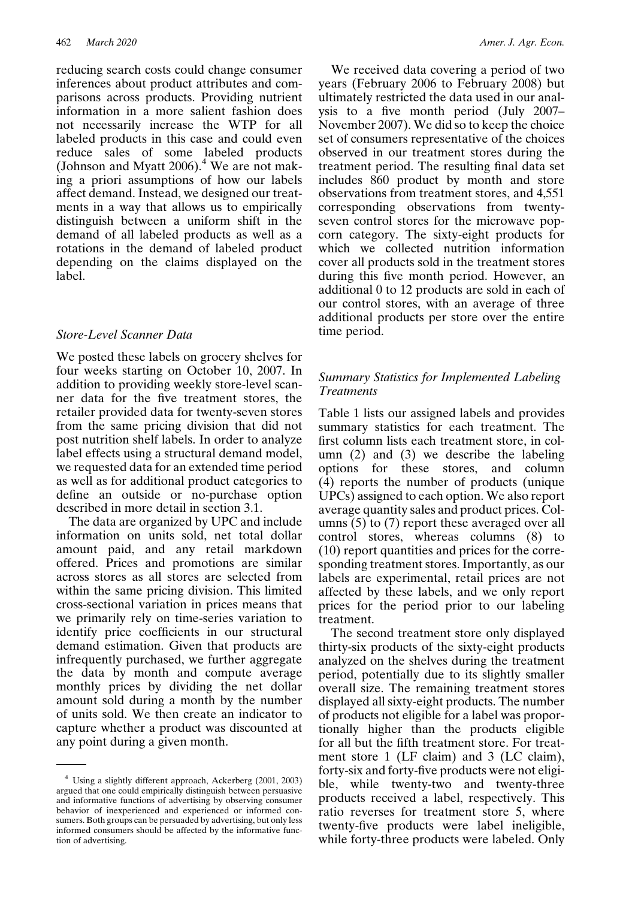reducing search costs could change consumer inferences about product attributes and comparisons across products. Providing nutrient information in a more salient fashion does not necessarily increase the WTP for all labeled products in this case and could even reduce sales of some labeled products (Johnson and Myatt  $2006$ ).<sup>4</sup> We are not making a priori assumptions of how our labels affect demand. Instead, we designed our treatments in a way that allows us to empirically distinguish between a uniform shift in the demand of all labeled products as well as a rotations in the demand of labeled product depending on the claims displayed on the label.

#### Store-Level Scanner Data

We posted these labels on grocery shelves for four weeks starting on October 10, 2007. In addition to providing weekly store-level scanner data for the five treatment stores, the retailer provided data for twenty-seven stores from the same pricing division that did not post nutrition shelf labels. In order to analyze label effects using a structural demand model, we requested data for an extended time period as well as for additional product categories to define an outside or no-purchase option described in more detail in section 3.1.

The data are organized by UPC and include information on units sold, net total dollar amount paid, and any retail markdown offered. Prices and promotions are similar across stores as all stores are selected from within the same pricing division. This limited cross-sectional variation in prices means that we primarily rely on time-series variation to identify price coefficients in our structural demand estimation. Given that products are infrequently purchased, we further aggregate the data by month and compute average monthly prices by dividing the net dollar amount sold during a month by the number of units sold. We then create an indicator to capture whether a product was discounted at any point during a given month.

We received data covering a period of two years (February 2006 to February 2008) but ultimately restricted the data used in our analysis to a five month period (July 2007– November 2007). We did so to keep the choice set of consumers representative of the choices observed in our treatment stores during the treatment period. The resulting final data set includes 860 product by month and store observations from treatment stores, and 4,551 corresponding observations from twentyseven control stores for the microwave popcorn category. The sixty-eight products for which we collected nutrition information cover all products sold in the treatment stores during this five month period. However, an additional 0 to 12 products are sold in each of our control stores, with an average of three additional products per store over the entire time period.

# Summary Statistics for Implemented Labeling **Treatments**

Table 1 lists our assigned labels and provides summary statistics for each treatment. The first column lists each treatment store, in column (2) and (3) we describe the labeling options for these stores, and column (4) reports the number of products (unique UPCs) assigned to each option. We also report average quantity sales and product prices. Columns (5) to (7) report these averaged over all control stores, whereas columns (8) to (10) report quantities and prices for the corresponding treatment stores. Importantly, as our labels are experimental, retail prices are not affected by these labels, and we only report prices for the period prior to our labeling treatment.

The second treatment store only displayed thirty-six products of the sixty-eight products analyzed on the shelves during the treatment period, potentially due to its slightly smaller overall size. The remaining treatment stores displayed all sixty-eight products. The number of products not eligible for a label was proportionally higher than the products eligible for all but the fifth treatment store. For treatment store 1 (LF claim) and 3 (LC claim), forty-six and forty-five products were not eligible, while twenty-two and twenty-three products received a label, respectively. This ratio reverses for treatment store 5, where twenty-five products were label ineligible, while forty-three products were labeled. Only

<sup>4</sup> Using a slightly different approach, Ackerberg (2001, 2003) argued that one could empirically distinguish between persuasive and informative functions of advertising by observing consumer behavior of inexperienced and experienced or informed consumers. Both groups can be persuaded by advertising, but only less informed consumers should be affected by the informative function of advertising.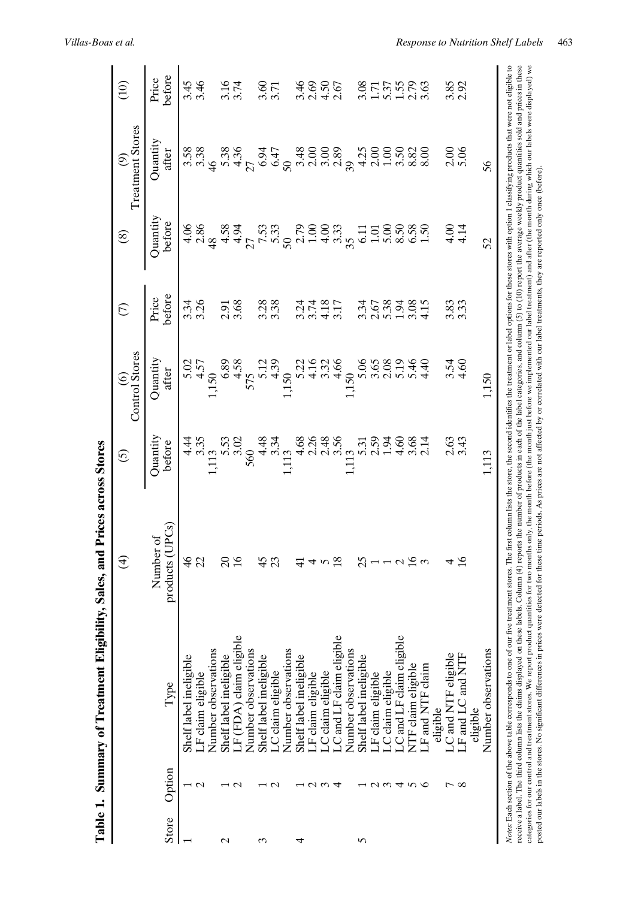|                                                             | Price<br>before                         | 3.46<br>3.45                                                      | 3.74                                                                   | 3.71<br>3.71                                                       | 3.46<br>855<br>2555<br>2425                                                                                         | $3777200$<br>$3777000$<br>3.85<br>2.06                                                                                                                                                                                                      |
|-------------------------------------------------------------|-----------------------------------------|-------------------------------------------------------------------|------------------------------------------------------------------------|--------------------------------------------------------------------|---------------------------------------------------------------------------------------------------------------------|---------------------------------------------------------------------------------------------------------------------------------------------------------------------------------------------------------------------------------------------|
| <b>Treatment Stores</b><br>$\widehat{e}$<br>@               | Quantity<br>after<br>Quantity<br>before |                                                                   |                                                                        |                                                                    |                                                                                                                     | 56<br>$11588885$<br>$-1588885$<br>4.00<br>$\frac{4}{1}$<br>52                                                                                                                                                                               |
| $\widehat{C}$                                               | before<br>Price                         | 3.26<br>3.34                                                      | 2.91<br>3.68                                                           | 3.38                                                               | 3.74<br>3.17<br>3.17<br>3.24                                                                                        | 35838913<br>3633891<br>3.33<br>3.33                                                                                                                                                                                                         |
| $\begin{array}{c}\n (6) \\   \end{array}$<br>Control Stores | Quantity<br>after                       | $5.02$<br>4.57<br>150                                             | $6.89$<br>$4.58$<br>$575$                                              | $\frac{5.12}{4.39}$<br>150                                         | $3.32$<br>4.66<br>$\frac{1}{4}$<br>$\overline{50}$                                                                  | $5.68$<br>$0.88$<br>$244$<br>$244$<br>3.54<br>4.60<br>1.150                                                                                                                                                                                 |
| Ó                                                           | Quantity<br>before                      | $\frac{3.35}{113}$<br>$rac{4}{4}$                                 | 560                                                                    | $\frac{43}{10}$<br>$\overline{13}$                                 | $2.48$<br>$3.56$<br>$13$                                                                                            | $5.31$<br>$2.59$<br>$1.94$<br>3.43<br>$687$<br>$0.87$<br>2.63<br>1,113                                                                                                                                                                      |
| $\widehat{\mathbf{\tau}}$                                   | products (UPCs)<br>Number of            | 48                                                                | 20<br>16                                                               | 45<br>Z                                                            | ≌<br>A.                                                                                                             | 25<br>٩<br>٩                                                                                                                                                                                                                                |
|                                                             | Type                                    | Number observations<br>Shelf label ineligible<br>F claim eligible | F(FDA) claim eligible<br>Number observations<br>Shelf label ineligible | Number observations<br>Shelf label ineligible<br>LC claim eligible | LC and LF claim eligible<br>Number observations<br>Shelf label ineligible<br>LC claim eligible<br>LF claim eligible | C and LF claim eligible<br>Number observations<br>LC and NTF eligible<br>$\Box$ F and $\Box$ C and $NTF$<br>Shelf label ineligible<br>NTF claim eligible<br>F and NTF claim<br>C claim eligible<br>F claim eligible<br>eligible<br>eligible |
|                                                             | Option                                  |                                                                   |                                                                        |                                                                    | $\sim$                                                                                                              | $\omega$ $\omega$<br>$\Omega$<br>$\infty$<br>4                                                                                                                                                                                              |
|                                                             | Store                                   |                                                                   | $\mathcal{C}$                                                          | $\mathfrak{c}$                                                     | 4                                                                                                                   | 5                                                                                                                                                                                                                                           |

Table 1. Summary of Treatment Eligibility, Sales, and Prices across Stores

Table 1. Summary of Treatment Eligibility, Sales, and Prices across Stores

posted our labels in the stores. No significant differences in prices were detected for these time periods. As prices are not affected by or correlated with our label treatments, they are reported only once (before).

posted our labels in the stores. No significant differences in prices were detected for these time periods. As prices are not affected by or correlated with our label treatments, they are reported only once (before).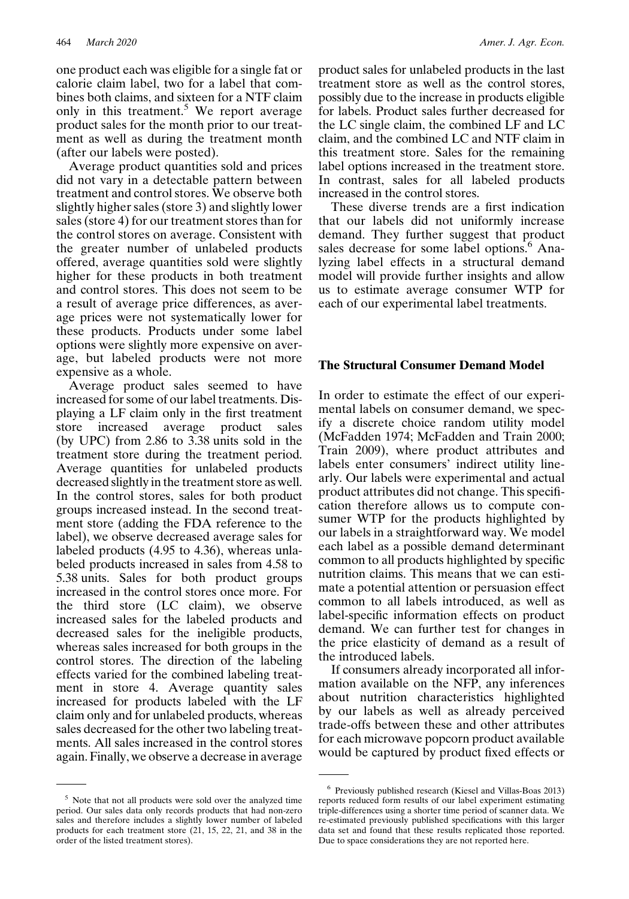one product each was eligible for a single fat or calorie claim label, two for a label that combines both claims, and sixteen for a NTF claim only in this treatment.<sup>5</sup> We report average product sales for the month prior to our treatment as well as during the treatment month (after our labels were posted).

Average product quantities sold and prices did not vary in a detectable pattern between treatment and control stores. We observe both slightly higher sales (store 3) and slightly lower sales (store 4) for our treatment stores than for the control stores on average. Consistent with the greater number of unlabeled products offered, average quantities sold were slightly higher for these products in both treatment and control stores. This does not seem to be a result of average price differences, as average prices were not systematically lower for these products. Products under some label options were slightly more expensive on average, but labeled products were not more expensive as a whole.

Average product sales seemed to have increased for some of our label treatments. Displaying a LF claim only in the first treatment store increased average product sales (by UPC) from 2.86 to 3.38 units sold in the treatment store during the treatment period. Average quantities for unlabeled products decreased slightly in the treatment store as well. In the control stores, sales for both product groups increased instead. In the second treatment store (adding the FDA reference to the label), we observe decreased average sales for labeled products (4.95 to 4.36), whereas unlabeled products increased in sales from 4.58 to 5.38 units. Sales for both product groups increased in the control stores once more. For the third store (LC claim), we observe increased sales for the labeled products and decreased sales for the ineligible products, whereas sales increased for both groups in the control stores. The direction of the labeling effects varied for the combined labeling treatment in store 4. Average quantity sales increased for products labeled with the LF claim only and for unlabeled products, whereas sales decreased for the other two labeling treatments. All sales increased in the control stores again. Finally, we observe a decrease in average

<sup>5</sup> Note that not all products were sold over the analyzed time period. Our sales data only records products that had non-zero sales and therefore includes a slightly lower number of labeled products for each treatment store (21, 15, 22, 21, and 38 in the order of the listed treatment stores).

product sales for unlabeled products in the last treatment store as well as the control stores, possibly due to the increase in products eligible for labels. Product sales further decreased for the LC single claim, the combined LF and LC claim, and the combined LC and NTF claim in this treatment store. Sales for the remaining label options increased in the treatment store. In contrast, sales for all labeled products increased in the control stores.

These diverse trends are a first indication that our labels did not uniformly increase demand. They further suggest that product sales decrease for some label options.<sup>6</sup> Analyzing label effects in a structural demand model will provide further insights and allow us to estimate average consumer WTP for each of our experimental label treatments.

#### The Structural Consumer Demand Model

In order to estimate the effect of our experimental labels on consumer demand, we specify a discrete choice random utility model (McFadden 1974; McFadden and Train 2000; Train 2009), where product attributes and labels enter consumers' indirect utility linearly. Our labels were experimental and actual product attributes did not change. This specification therefore allows us to compute consumer WTP for the products highlighted by our labels in a straightforward way. We model each label as a possible demand determinant common to all products highlighted by specific nutrition claims. This means that we can estimate a potential attention or persuasion effect common to all labels introduced, as well as label-specific information effects on product demand. We can further test for changes in the price elasticity of demand as a result of the introduced labels.

If consumers already incorporated all information available on the NFP, any inferences about nutrition characteristics highlighted by our labels as well as already perceived trade-offs between these and other attributes for each microwave popcorn product available would be captured by product fixed effects or

<sup>6</sup> Previously published research (Kiesel and Villas-Boas 2013) reports reduced form results of our label experiment estimating triple-differences using a shorter time period of scanner data. We re-estimated previously published specifications with this larger data set and found that these results replicated those reported. Due to space considerations they are not reported here.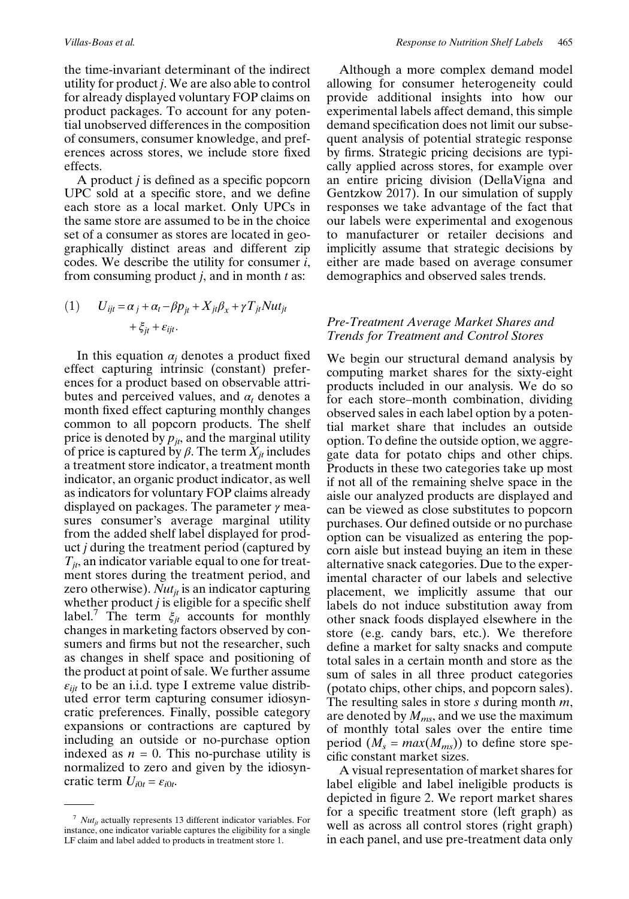the time-invariant determinant of the indirect utility for product j. We are also able to control for already displayed voluntary FOP claims on product packages. To account for any potential unobserved differences in the composition of consumers, consumer knowledge, and preferences across stores, we include store fixed effects.

A product j is defined as a specific popcorn UPC sold at a specific store, and we define each store as a local market. Only UPCs in the same store are assumed to be in the choice set of a consumer as stores are located in geographically distinct areas and different zip codes. We describe the utility for consumer i, from consuming product  $j$ , and in month  $t$  as:

(1) 
$$
U_{ijt} = \alpha_j + \alpha_t - \beta p_{jt} + X_{jt}\beta_x + \gamma T_{jt}Nut_{jt} + \xi_{jt} + \varepsilon_{ijt}.
$$

In this equation  $\alpha_i$  denotes a product fixed effect capturing intrinsic (constant) preferences for a product based on observable attributes and perceived values, and  $\alpha_t$  denotes a month fixed effect capturing monthly changes common to all popcorn products. The shelf price is denoted by  $p_{it}$ , and the marginal utility of price is captured by  $\beta$ . The term  $X_{it}$  includes a treatment store indicator, a treatment month indicator, an organic product indicator, as well as indicators for voluntary FOP claims already displayed on packages. The parameter  $\gamma$  measures consumer's average marginal utility from the added shelf label displayed for product j during the treatment period (captured by  $T_{it}$ , an indicator variable equal to one for treatment stores during the treatment period, and zero otherwise). Nut<sub>it</sub> is an indicator capturing whether product  $j$  is eligible for a specific shelf label.<sup>7</sup> The term  $\xi_{jt}$  accounts for monthly changes in marketing factors observed by consumers and firms but not the researcher, such as changes in shelf space and positioning of the product at point of sale. We further assume  $\varepsilon_{ii}$  to be an i.i.d. type I extreme value distributed error term capturing consumer idiosyncratic preferences. Finally, possible category expansions or contractions are captured by including an outside or no-purchase option indexed as  $n = 0$ . This no-purchase utility is normalized to zero and given by the idiosyncratic term  $U_{i0t} = \varepsilon_{i0t}$ .

Although a more complex demand model allowing for consumer heterogeneity could provide additional insights into how our experimental labels affect demand, this simple demand specification does not limit our subsequent analysis of potential strategic response by firms. Strategic pricing decisions are typically applied across stores, for example over an entire pricing division (DellaVigna and Gentzkow 2017). In our simulation of supply responses we take advantage of the fact that our labels were experimental and exogenous to manufacturer or retailer decisions and implicitly assume that strategic decisions by either are made based on average consumer demographics and observed sales trends.

#### Pre-Treatment Average Market Shares and Trends for Treatment and Control Stores

We begin our structural demand analysis by computing market shares for the sixty-eight products included in our analysis. We do so for each store–month combination, dividing observed sales in each label option by a potential market share that includes an outside option. To define the outside option, we aggregate data for potato chips and other chips. Products in these two categories take up most if not all of the remaining shelve space in the aisle our analyzed products are displayed and can be viewed as close substitutes to popcorn purchases. Our defined outside or no purchase option can be visualized as entering the popcorn aisle but instead buying an item in these alternative snack categories. Due to the experimental character of our labels and selective placement, we implicitly assume that our labels do not induce substitution away from other snack foods displayed elsewhere in the store (e.g. candy bars, etc.). We therefore define a market for salty snacks and compute total sales in a certain month and store as the sum of sales in all three product categories (potato chips, other chips, and popcorn sales). The resulting sales in store  $s$  during month  $m$ , are denoted by  $M_{ms}$ , and we use the maximum of monthly total sales over the entire time period  $(M_s = max(M_{ms}))$  to define store specific constant market sizes.

A visual representation of market shares for label eligible and label ineligible products is depicted in figure 2. We report market shares for a specific treatment store (left graph) as well as across all control stores (right graph) in each panel, and use pre-treatment data only

 $\frac{7}{10}$  Nut<sub>it</sub> actually represents 13 different indicator variables. For instance, one indicator variable captures the eligibility for a single LF claim and label added to products in treatment store 1.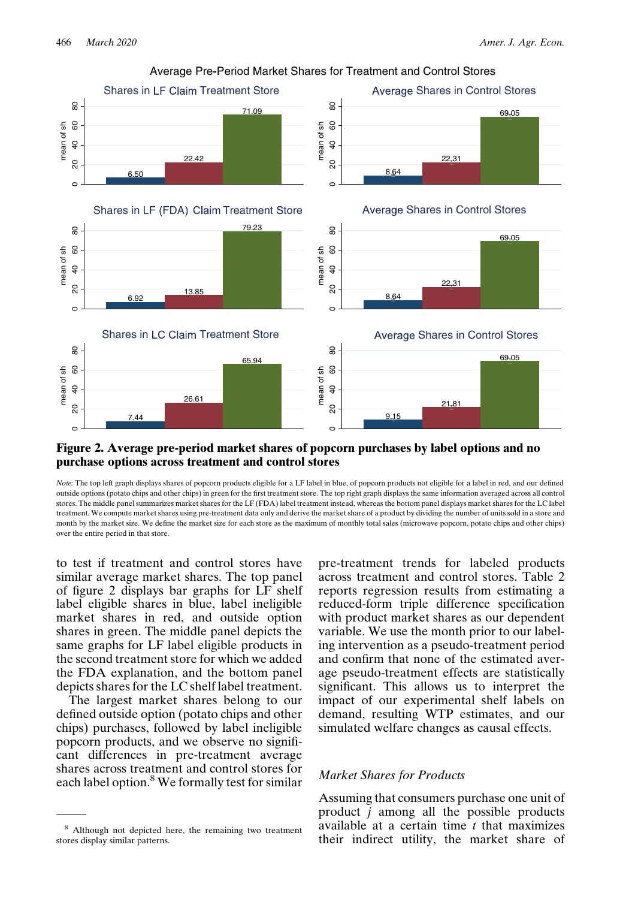![](_page_8_Figure_2.jpeg)

#### Average Pre Period Market Shares for Treatment and Control Stores

Figure 2. Average pre-period market shares of popcorn purchases by label options and no purchase options across treatment and control stores

Note: The top left graph displays shares of popcorn products eligible for a LF label in blue, of popcorn products not eligible for a label in red, and our defined outside options (potato chips and other chips) in green for the first treatment store. The top right graph displays the same information averaged across all control stores. The middle panel summarizes market shares for the LF (FDA) label treatment instead, whereas the bottom panel displays market shares for the LC label treatment. We compute market shares using pre-treatment data only and derive the market share of a product by dividing the number of units sold in a store and month by the market size. We define the market size for each store as the maximum of monthly total sales (microwave popcorn, potato chips and other chips) over the entire period in that store.

to test if treatment and control stores have similar average market shares. The top panel of figure 2 displays bar graphs for LF shelf label eligible shares in blue, label ineligible market shares in red, and outside option shares in green. The middle panel depicts the same graphs for LF label eligible products in the second treatment store for which we added the FDA explanation, and the bottom panel depicts shares for the LC shelf label treatment.

The largest market shares belong to our defined outside option (potato chips and other chips) purchases, followed by label ineligible popcorn products, and we observe no significant differences in pre-treatment average shares across treatment and control stores for each label option.<sup>8</sup> We formally test for similar

<sup>8</sup> Although not depicted here, the remaining two treatment stores display similar patterns.

pre-treatment trends for labeled products across treatment and control stores. Table 2 reports regression results from estimating a reduced-form triple difference specification with product market shares as our dependent variable. We use the month prior to our labeling intervention as a pseudo-treatment period and confirm that none of the estimated average pseudo-treatment effects are statistically significant. This allows us to interpret the impact of our experimental shelf labels on demand, resulting WTP estimates, and our simulated welfare changes as causal effects.

#### Market Shares for Products

Assuming that consumers purchase one unit of product j among all the possible products available at a certain time  $t$  that maximizes their indirect utility, the market share of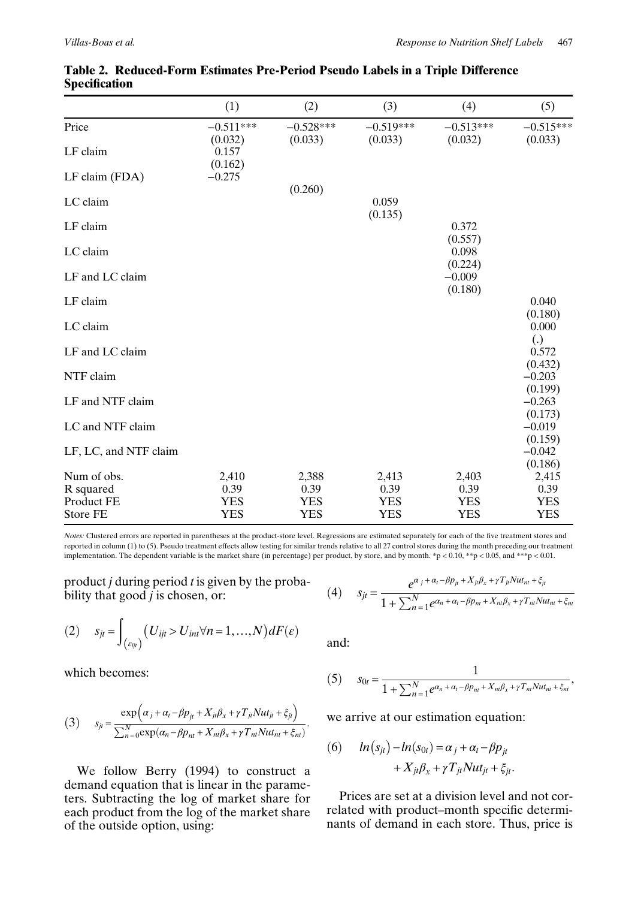|                                                           | (1)                                       | (2)                                       | (3)                                       | (4)                                       | (5)                                                  |
|-----------------------------------------------------------|-------------------------------------------|-------------------------------------------|-------------------------------------------|-------------------------------------------|------------------------------------------------------|
| Price                                                     | $-0.511***$                               | $-0.528***$                               | $-0.519***$                               | $-0.513***$                               | $-0.515***$                                          |
| LF claim                                                  | (0.032)<br>0.157<br>(0.162)               | (0.033)                                   | (0.033)                                   | (0.032)                                   | (0.033)                                              |
| LF claim (FDA)                                            | $-0.275$                                  | (0.260)                                   |                                           |                                           |                                                      |
| LC claim                                                  |                                           |                                           | 0.059<br>(0.135)                          |                                           |                                                      |
| LF claim                                                  |                                           |                                           |                                           | 0.372                                     |                                                      |
| LC claim                                                  |                                           |                                           |                                           | (0.557)<br>0.098                          |                                                      |
| LF and LC claim                                           |                                           |                                           |                                           | (0.224)<br>$-0.009$                       |                                                      |
| LF claim                                                  |                                           |                                           |                                           | (0.180)                                   | 0.040                                                |
| LC claim                                                  |                                           |                                           |                                           |                                           | (0.180)<br>0.000                                     |
| LF and LC claim                                           |                                           |                                           |                                           |                                           | $\left( .\right)$<br>0.572                           |
| NTF claim                                                 |                                           |                                           |                                           |                                           | (0.432)<br>$-0.203$                                  |
| LF and NTF claim                                          |                                           |                                           |                                           |                                           | (0.199)<br>$-0.263$                                  |
| LC and NTF claim                                          |                                           |                                           |                                           |                                           | (0.173)<br>$-0.019$                                  |
| LF, LC, and NTF claim                                     |                                           |                                           |                                           |                                           | (0.159)<br>$-0.042$                                  |
| Num of obs.<br>R squared<br>Product FE<br><b>Store FE</b> | 2,410<br>0.39<br><b>YES</b><br><b>YES</b> | 2,388<br>0.39<br><b>YES</b><br><b>YES</b> | 2,413<br>0.39<br><b>YES</b><br><b>YES</b> | 2,403<br>0.39<br><b>YES</b><br><b>YES</b> | (0.186)<br>2,415<br>0.39<br><b>YES</b><br><b>YES</b> |

## Table 2. Reduced-Form Estimates Pre-Period Pseudo Labels in a Triple Difference Specification

Notes: Clustered errors are reported in parentheses at the product-store level. Regressions are estimated separately for each of the five treatment stores and reported in column (1) to (5). Pseudo treatment effects allow testing for similar trends relative to all 27 control stores during the month preceding our treatment implementation. The dependent variable is the market share (in percentage) per product, by store, and by month. \*p < 0.10, \*\*p < 0.05, and \*\*\*p < 0.01.

product *j* during period  $t$  is given by the probability that good  $j$  is chosen, or:

$$
(2) \t s_{jt} = \int_{(\varepsilon_{ijt})} (U_{ijt} > U_{int} \forall n = 1,...,N) dF(\varepsilon)
$$

which becomes:

(3) 
$$
s_{ji} = \frac{\exp(\alpha_j + \alpha_t - \beta p_{ji} + X_{ji}\beta_x + \gamma T_{ji}Nut_{ji} + \xi_{ji})}{\sum_{n=0}^{N} \exp(\alpha_n - \beta p_{nt} + X_{ni}\beta_x + \gamma T_{nt}Nut_{nt} + \xi_{nt})}.
$$

We follow Berry (1994) to construct a demand equation that is linear in the parameters. Subtracting the log of market share for each product from the log of the market share of the outside option, using:

(4) 
$$
s_{jt} = \frac{e^{\alpha_j + \alpha_t - \beta p_{jt} + X_{jt}\beta_x + \gamma T_{jt}Nut_{nt} + \xi_{jt}}}{1 + \sum_{n=1}^{N}e^{\alpha_n + \alpha_t - \beta p_{nt} + X_{nt}\beta_x + \gamma T_{nt}Nut_{nt} + \xi_{nt}}}
$$

and:

(5) 
$$
s_{0t} = \frac{1}{1 + \sum_{n=1}^{N} e^{\alpha_n + \alpha_t - \beta p_{nt} + X_{nt} \beta_x + \gamma T_{nt} N t t_{nt} + \xi_m}},
$$

we arrive at our estimation equation:

(6) 
$$
ln(s_{jt}) - ln(s_{0t}) = \alpha_j + \alpha_t - \beta p_{jt} + X_{jt}\beta_x + \gamma T_{jt}Nut_{jt} + \xi_{jt}.
$$

Prices are set at a division level and not correlated with product–month specific determinants of demand in each store. Thus, price is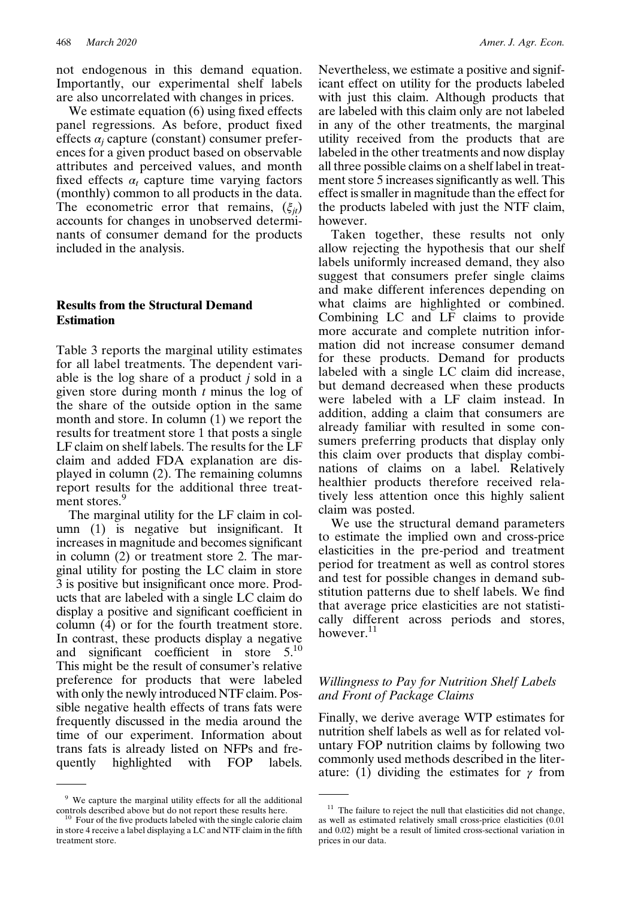not endogenous in this demand equation. Importantly, our experimental shelf labels are also uncorrelated with changes in prices.

We estimate equation (6) using fixed effects panel regressions. As before, product fixed effects  $\alpha_i$  capture (constant) consumer preferences for a given product based on observable attributes and perceived values, and month fixed effects  $\alpha_t$  capture time varying factors (monthly) common to all products in the data. The econometric error that remains,  $(\xi_{it})$ accounts for changes in unobserved determinants of consumer demand for the products included in the analysis.

## Results from the Structural Demand Estimation

Table 3 reports the marginal utility estimates for all label treatments. The dependent variable is the log share of a product j sold in a given store during month t minus the log of the share of the outside option in the same month and store. In column (1) we report the results for treatment store 1 that posts a single LF claim on shelf labels. The results for the LF claim and added FDA explanation are displayed in column (2). The remaining columns report results for the additional three treatment stores.<sup>9</sup>

The marginal utility for the LF claim in column (1) is negative but insignificant. It increases in magnitude and becomes significant in column (2) or treatment store 2. The marginal utility for posting the LC claim in store 3 is positive but insignificant once more. Products that are labeled with a single LC claim do display a positive and significant coefficient in column (4) or for the fourth treatment store. In contrast, these products display a negative and significant coefficient in store 5.10 This might be the result of consumer's relative preference for products that were labeled with only the newly introduced NTF claim. Possible negative health effects of trans fats were frequently discussed in the media around the time of our experiment. Information about trans fats is already listed on NFPs and frequently highlighted with FOP labels. Nevertheless, we estimate a positive and significant effect on utility for the products labeled with just this claim. Although products that are labeled with this claim only are not labeled in any of the other treatments, the marginal utility received from the products that are labeled in the other treatments and now display all three possible claims on a shelf label in treatment store 5 increases significantly as well. This effect is smaller in magnitude than the effect for the products labeled with just the NTF claim, however.

Taken together, these results not only allow rejecting the hypothesis that our shelf labels uniformly increased demand, they also suggest that consumers prefer single claims and make different inferences depending on what claims are highlighted or combined. Combining LC and LF claims to provide more accurate and complete nutrition information did not increase consumer demand for these products. Demand for products labeled with a single LC claim did increase, but demand decreased when these products were labeled with a LF claim instead. In addition, adding a claim that consumers are already familiar with resulted in some consumers preferring products that display only this claim over products that display combinations of claims on a label. Relatively healthier products therefore received relatively less attention once this highly salient claim was posted.

We use the structural demand parameters to estimate the implied own and cross-price elasticities in the pre-period and treatment period for treatment as well as control stores and test for possible changes in demand substitution patterns due to shelf labels. We find that average price elasticities are not statistically different across periods and stores, however.<sup>11</sup>

# Willingness to Pay for Nutrition Shelf Labels and Front of Package Claims

Finally, we derive average WTP estimates for nutrition shelf labels as well as for related voluntary FOP nutrition claims by following two commonly used methods described in the literature: (1) dividing the estimates for  $\gamma$  from

<sup>&</sup>lt;sup>9</sup> We capture the marginal utility effects for all the additional controls described above but do not report these results here.<br><sup>10</sup> Four of the five products labeled with the single calorie claim

<sup>&</sup>lt;sup>11</sup> The failure to reject the null that elasticities did not change, as well as estimated relatively small cross-price elasticities (0.01 and 0.02) might be a result of limited cross-sectional variation in prices in our data.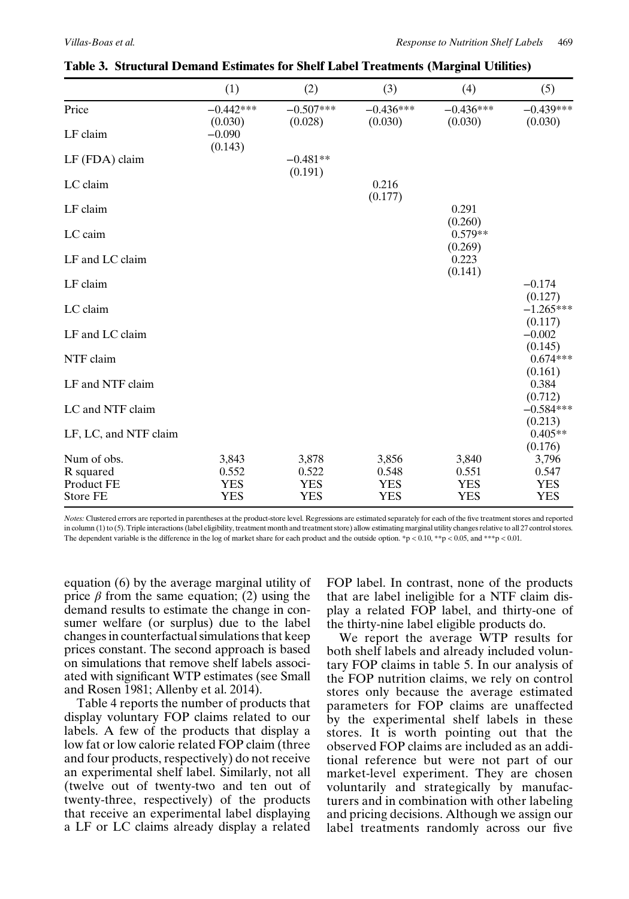|                        | (1)                            | (2)                      | (3)                      | (4)                         | (5)                             |
|------------------------|--------------------------------|--------------------------|--------------------------|-----------------------------|---------------------------------|
| Price                  | $-0.442***$                    | $-0.507***$              | $-0.436***$              | $-0.436***$                 | $-0.439***$                     |
| LF claim               | (0.030)<br>$-0.090$<br>(0.143) | (0.028)                  | (0.030)                  | (0.030)                     | (0.030)                         |
| LF (FDA) claim         |                                | $-0.481**$<br>(0.191)    |                          |                             |                                 |
| LC claim               |                                |                          | 0.216                    |                             |                                 |
| LF claim               |                                |                          | (0.177)                  | 0.291<br>(0.260)            |                                 |
| LC caim                |                                |                          |                          | $0.579**$                   |                                 |
| LF and LC claim        |                                |                          |                          | (0.269)<br>0.223<br>(0.141) |                                 |
| LF claim               |                                |                          |                          |                             | $-0.174$                        |
| LC claim               |                                |                          |                          |                             | (0.127)<br>$-1.265***$          |
| LF and LC claim        |                                |                          |                          |                             | (0.117)<br>$-0.002$             |
| NTF claim              |                                |                          |                          |                             | (0.145)<br>$0.674***$           |
| LF and NTF claim       |                                |                          |                          |                             | (0.161)<br>0.384                |
| LC and NTF claim       |                                |                          |                          |                             | (0.712)<br>$-0.584***$          |
| LF, LC, and NTF claim  |                                |                          |                          |                             | (0.213)<br>$0.405**$<br>(0.176) |
| Num of obs.            | 3,843                          | 3,878                    | 3,856                    | 3,840                       | 3,796                           |
| R squared              | 0.552                          | 0.522                    | 0.548                    | 0.551                       | 0.547                           |
| Product FE<br>Store FE | <b>YES</b><br>YES              | <b>YES</b><br><b>YES</b> | <b>YES</b><br><b>YES</b> | <b>YES</b><br><b>YES</b>    | <b>YES</b><br><b>YES</b>        |

Table 3. Structural Demand Estimates for Shelf Label Treatments (Marginal Utilities)

Notes: Clustered errors are reported in parentheses at the product-store level. Regressions are estimated separately for each of the five treatment stores and reported in column (1) to (5). Triple interactions (label eligibility, treatment month and treatment store) allow estimating marginal utility changes relative to all 27 control stores. The dependent variable is the difference in the log of market share for each product and the outside option. \*p < 0.10, \*\*p < 0.05, and \*\*\*p < 0.01.

equation (6) by the average marginal utility of price  $\beta$  from the same equation; (2) using the demand results to estimate the change in consumer welfare (or surplus) due to the label changes in counterfactual simulations that keep prices constant. The second approach is based on simulations that remove shelf labels associated with significant WTP estimates (see Small and Rosen 1981; Allenby et al. 2014).

Table 4 reports the number of products that display voluntary FOP claims related to our labels. A few of the products that display a low fat or low calorie related FOP claim (three and four products, respectively) do not receive an experimental shelf label. Similarly, not all (twelve out of twenty-two and ten out of twenty-three, respectively) of the products that receive an experimental label displaying a LF or LC claims already display a related

FOP label. In contrast, none of the products that are label ineligible for a NTF claim display a related FOP label, and thirty-one of the thirty-nine label eligible products do.

We report the average WTP results for both shelf labels and already included voluntary FOP claims in table 5. In our analysis of the FOP nutrition claims, we rely on control stores only because the average estimated parameters for FOP claims are unaffected by the experimental shelf labels in these stores. It is worth pointing out that the observed FOP claims are included as an additional reference but were not part of our market-level experiment. They are chosen voluntarily and strategically by manufacturers and in combination with other labeling and pricing decisions. Although we assign our label treatments randomly across our five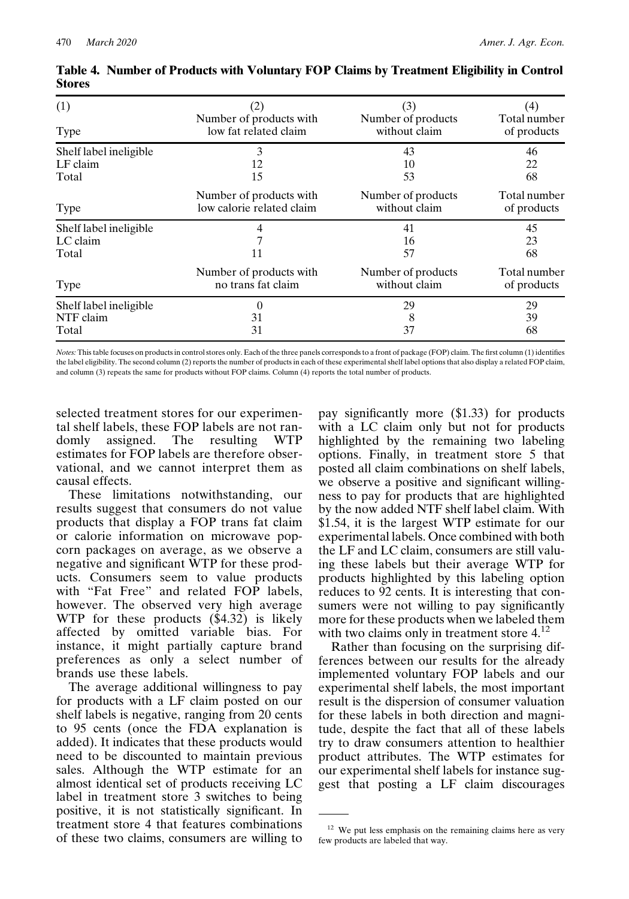| (1)                    | (2)                       | (3)                | (4)          |
|------------------------|---------------------------|--------------------|--------------|
| Type                   | Number of products with   | Number of products | Total number |
|                        | low fat related claim     | without claim      | of products  |
| Shelf label ineligible | 3                         | 43                 | 46           |
| LF claim               | 12                        | 10                 | 22           |
| Total                  | 15                        | 53                 | 68           |
| Type                   | Number of products with   | Number of products | Total number |
|                        | low calorie related claim | without claim      | of products  |
| Shelf label ineligible | 4                         | 41                 | 45           |
| LC claim               |                           | 16                 | 23           |
| Total                  | 11                        | 57                 | 68           |
| Type                   | Number of products with   | Number of products | Total number |
|                        | no trans fat claim        | without claim      | of products  |
| Shelf label ineligible | 0                         | 29                 | 29           |
| NTF claim              | 31                        | 8                  | 39           |
| Total                  | 31                        | 37                 | 68           |

# Table 4. Number of Products with Voluntary FOP Claims by Treatment Eligibility in Control Stores

Notes: This table focuses on products in control stores only. Each of the three panels corresponds to a front of package (FOP) claim. The first column (1) identifies the label eligibility. The second column (2) reports the number of products in each of these experimental shelf label options that also display a related FOP claim, and column (3) repeats the same for products without FOP claims. Column (4) reports the total number of products.

selected treatment stores for our experimental shelf labels, these FOP labels are not randomly assigned. The resulting WTP estimates for FOP labels are therefore observational, and we cannot interpret them as causal effects.

These limitations notwithstanding, our results suggest that consumers do not value products that display a FOP trans fat claim or calorie information on microwave popcorn packages on average, as we observe a negative and significant WTP for these products. Consumers seem to value products with "Fat Free" and related FOP labels, however. The observed very high average WTP for these products (\$4.32) is likely affected by omitted variable bias. For instance, it might partially capture brand preferences as only a select number of brands use these labels.

The average additional willingness to pay for products with a LF claim posted on our shelf labels is negative, ranging from 20 cents to 95 cents (once the FDA explanation is added). It indicates that these products would need to be discounted to maintain previous sales. Although the WTP estimate for an almost identical set of products receiving LC label in treatment store 3 switches to being positive, it is not statistically significant. In treatment store 4 that features combinations of these two claims, consumers are willing to pay significantly more (\$1.33) for products with a LC claim only but not for products highlighted by the remaining two labeling options. Finally, in treatment store 5 that posted all claim combinations on shelf labels, we observe a positive and significant willingness to pay for products that are highlighted by the now added NTF shelf label claim. With \$1.54, it is the largest WTP estimate for our experimental labels. Once combined with both the LF and LC claim, consumers are still valuing these labels but their average WTP for products highlighted by this labeling option reduces to 92 cents. It is interesting that consumers were not willing to pay significantly more for these products when we labeled them with two claims only in treatment store  $4<sup>12</sup>$ 

Rather than focusing on the surprising differences between our results for the already implemented voluntary FOP labels and our experimental shelf labels, the most important result is the dispersion of consumer valuation for these labels in both direction and magnitude, despite the fact that all of these labels try to draw consumers attention to healthier product attributes. The WTP estimates for our experimental shelf labels for instance suggest that posting a LF claim discourages

 $12$  We put less emphasis on the remaining claims here as very few products are labeled that way.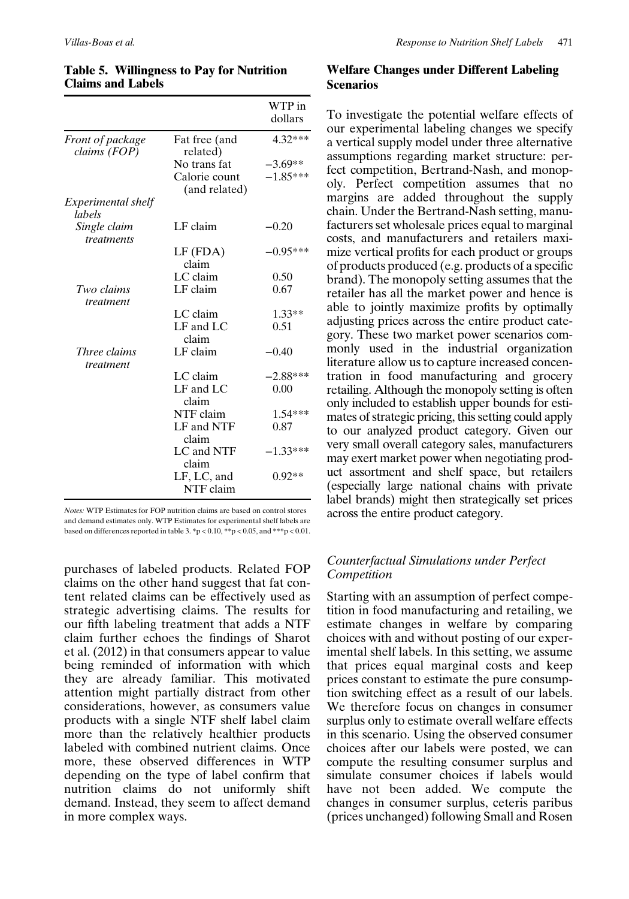|                                         |                                | WTP in<br>dollars |
|-----------------------------------------|--------------------------------|-------------------|
| <b>Front of package</b><br>claims (FOP) | Fat free (and<br>related)      | $4.32***$         |
|                                         | No trans fat                   | $-3.69**$         |
|                                         | Calorie count<br>(and related) | $-1.85***$        |
| <i>Experimental shelf</i><br>labels     |                                |                   |
| Single claim<br>treatments              | LF claim                       | $-0.20$           |
|                                         | LF(FDA)<br>claim               | $-0.95***$        |
|                                         | LC claim                       | 0.50              |
| Two claims<br>treatment                 | LF claim                       | 0.67              |
|                                         | LC claim                       | $1.33**$          |
|                                         | $LF$ and $LC$<br>claim         | 0.51              |
| Three claims<br>treatment               | LF claim                       | $-0.40$           |
|                                         | LC claim                       | -2.88***          |
|                                         | LF and LC<br>claim             | 0.00              |
|                                         | NTF claim                      | $1.54***$         |
|                                         | LF and NTF<br>claim            | 0.87              |
|                                         | LC and NTF<br>claim            | $-1.33***$        |
|                                         | LF, LC, and<br>NTF claim       | $0.92**$          |

## Table 5. Willingness to Pay for Nutrition Claims and Labels

Notes: WTP Estimates for FOP nutrition claims are based on control stores and demand estimates only. WTP Estimates for experimental shelf labels are based on differences reported in table 3. \*p < 0.10, \*\*p < 0.05, and \*\*\*p < 0.01.

purchases of labeled products. Related FOP claims on the other hand suggest that fat content related claims can be effectively used as strategic advertising claims. The results for our fifth labeling treatment that adds a NTF claim further echoes the findings of Sharot et al. (2012) in that consumers appear to value being reminded of information with which they are already familiar. This motivated attention might partially distract from other considerations, however, as consumers value products with a single NTF shelf label claim more than the relatively healthier products labeled with combined nutrient claims. Once more, these observed differences in WTP depending on the type of label confirm that nutrition claims do not uniformly shift demand. Instead, they seem to affect demand in more complex ways.

# Welfare Changes under Different Labeling Scenarios

To investigate the potential welfare effects of our experimental labeling changes we specify a vertical supply model under three alternative assumptions regarding market structure: perfect competition, Bertrand-Nash, and monopoly. Perfect competition assumes that no margins are added throughout the supply chain. Under the Bertrand-Nash setting, manufacturers set wholesale prices equal to marginal costs, and manufacturers and retailers maximize vertical profits for each product or groups of products produced (e.g. products of a specific brand). The monopoly setting assumes that the retailer has all the market power and hence is able to jointly maximize profits by optimally adjusting prices across the entire product category. These two market power scenarios commonly used in the industrial organization literature allow us to capture increased concentration in food manufacturing and grocery retailing. Although the monopoly setting is often only included to establish upper bounds for estimates of strategic pricing, this setting could apply to our analyzed product category. Given our very small overall category sales, manufacturers may exert market power when negotiating product assortment and shelf space, but retailers (especially large national chains with private label brands) might then strategically set prices across the entire product category.

## Counterfactual Simulations under Perfect Competition

Starting with an assumption of perfect competition in food manufacturing and retailing, we estimate changes in welfare by comparing choices with and without posting of our experimental shelf labels. In this setting, we assume that prices equal marginal costs and keep prices constant to estimate the pure consumption switching effect as a result of our labels. We therefore focus on changes in consumer surplus only to estimate overall welfare effects in this scenario. Using the observed consumer choices after our labels were posted, we can compute the resulting consumer surplus and simulate consumer choices if labels would have not been added. We compute the changes in consumer surplus, ceteris paribus (prices unchanged) following Small and Rosen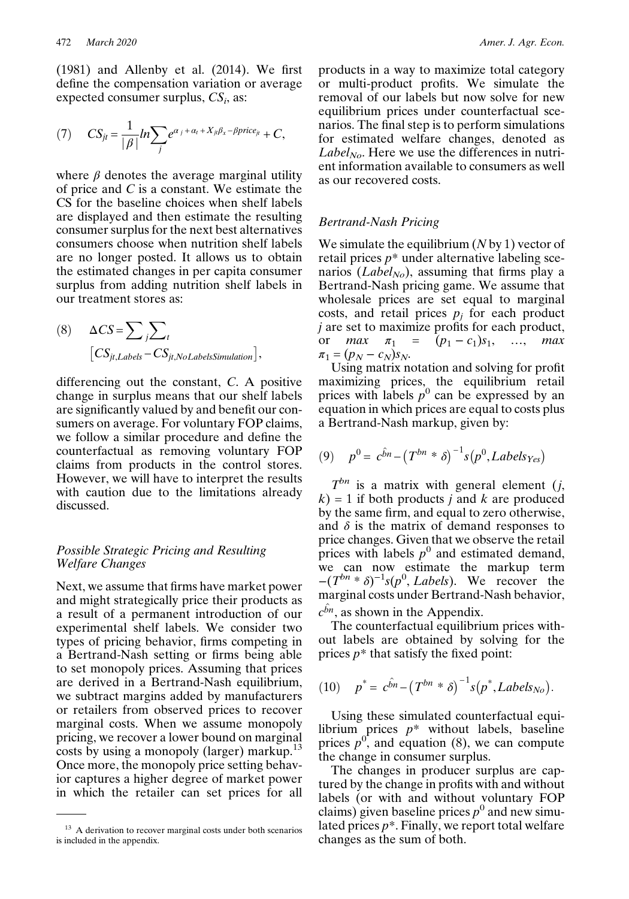(1981) and Allenby et al. (2014). We first define the compensation variation or average expected consumer surplus,  $CS_i$ , as:

$$
(7) \tCS_{jt} = \frac{1}{|\beta|} ln \sum_{j} e^{\alpha_j + \alpha_t + X_{jt} \beta_x - \beta price_{jt}} + C,
$$

where  $\beta$  denotes the average marginal utility of price and  $C$  is a constant. We estimate the CS for the baseline choices when shelf labels are displayed and then estimate the resulting consumer surplus for the next best alternatives consumers choose when nutrition shelf labels are no longer posted. It allows us to obtain the estimated changes in per capita consumer surplus from adding nutrition shelf labels in our treatment stores as:

(8) 
$$
\Delta CS = \sum_{j} \sum_{t} \sum_{NoLabels Simulation}
$$

$$
[CS_{jt,Labels} - CS_{jt,NoLabels Simulation}],
$$

differencing out the constant, C. A positive change in surplus means that our shelf labels are significantly valued by and benefit our consumers on average. For voluntary FOP claims, we follow a similar procedure and define the counterfactual as removing voluntary FOP claims from products in the control stores. However, we will have to interpret the results with caution due to the limitations already discussed.

#### Possible Strategic Pricing and Resulting Welfare Changes

Next, we assume that firms have market power and might strategically price their products as a result of a permanent introduction of our experimental shelf labels. We consider two types of pricing behavior, firms competing in a Bertrand-Nash setting or firms being able to set monopoly prices. Assuming that prices are derived in a Bertrand-Nash equilibrium, we subtract margins added by manufacturers or retailers from observed prices to recover marginal costs. When we assume monopoly pricing, we recover a lower bound on marginal costs by using a monopoly (larger) markup.<sup>13</sup> Once more, the monopoly price setting behavior captures a higher degree of market power in which the retailer can set prices for all products in a way to maximize total category or multi-product profits. We simulate the removal of our labels but now solve for new equilibrium prices under counterfactual scenarios. The final step is to perform simulations for estimated welfare changes, denoted as Label<sub>No</sub>. Here we use the differences in nutrient information available to consumers as well as our recovered costs.

#### Bertrand-Nash Pricing

We simulate the equilibrium  $(N$  by 1) vector of retail prices  $p^*$  under alternative labeling scenarios (Label<sub>No</sub>), assuming that firms play a Bertrand-Nash pricing game. We assume that wholesale prices are set equal to marginal costs, and retail prices  $p_i$  for each product j are set to maximize profits for each product, or *max*  $\pi_1 = (p_1 - c_1)s_1, \dots, \text{max}$  $\pi_1 = (p_N - c_N)s_N.$ 

Using matrix notation and solving for profit maximizing prices, the equilibrium retail prices with labels  $p^0$  can be expressed by an equation in which prices are equal to costs plus a Bertrand-Nash markup, given by:

$$
(9) \quad p^0 = c^{\hat{b}n} - (T^{bn} * \delta)^{-1} s(p^0, \text{Labels}_{\text{Yes}})
$$

 $T^{bn}$  is a matrix with general element (*j*,  $k$ ) = 1 if both products *j* and *k* are produced by the same firm, and equal to zero otherwise, and  $\delta$  is the matrix of demand responses to price changes. Given that we observe the retail prices with labels  $p^0$  and estimated demand, we can now estimate the markup term  $-(T^{bn} * \delta)^{-1} s(p^0, \text{Labels}).$  We recover the marginal costs under Bertrand-Nash behavior,  $c^{bn}$ , as shown in the Appendix.

The counterfactual equilibrium prices without labels are obtained by solving for the prices  $p^*$  that satisfy the fixed point:

(10) 
$$
p^* = c^{\hat{b}n} - (T^{bn} * \delta)^{-1} s(p^*, \text{Labels}_{N_o}).
$$

Using these simulated counterfactual equilibrium prices  $p^*$  without labels, baseline prices  $p^{0'}$ , and equation (8), we can compute the change in consumer surplus.

The changes in producer surplus are captured by the change in profits with and without labels (or with and without voluntary FOP claims) given baseline prices  $p^0$  and new simulated prices  $p^*$ . Finally, we report total welfare changes as the sum of both.

<sup>&</sup>lt;sup>13</sup> A derivation to recover marginal costs under both scenarios is included in the appendix.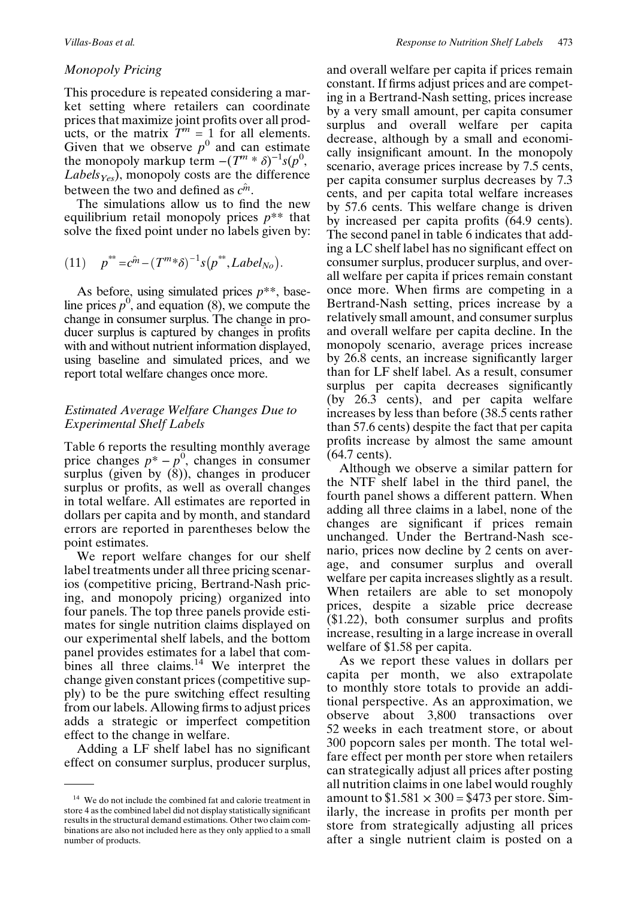## Monopoly Pricing

This procedure is repeated considering a market setting where retailers can coordinate prices that maximize joint profits over all products, or the matrix  $T^m = 1$  for all elements. Given that we observe  $p^0$  and can estimate the monopoly markup term  $-(T^m * \delta)^{-1} s(p^0,$ Labels $_{Yes}$ ), monopoly costs are the difference between the two and defined as  $c^{\hat{m}}$ .

The simulations allow us to find the new equilibrium retail monopoly prices  $p^{**}$  that solve the fixed point under no labels given by:

(11) 
$$
p^{**} = c^{\hat{m}} - (T^{m*}\delta)^{-1} s(p^{**}, Label_{No}).
$$

As before, using simulated prices  $p^{**}$ , baseline prices  $p^0$ , and equation (8), we compute the change in consumer surplus. The change in producer surplus is captured by changes in profits with and without nutrient information displayed, using baseline and simulated prices, and we report total welfare changes once more.

## Estimated Average Welfare Changes Due to Experimental Shelf Labels

Table 6 reports the resulting monthly average price changes  $p^* - p^0$ , changes in consumer surplus (given by (8)), changes in producer surplus or profits, as well as overall changes in total welfare. All estimates are reported in dollars per capita and by month, and standard errors are reported in parentheses below the point estimates.

We report welfare changes for our shelf label treatments under all three pricing scenarios (competitive pricing, Bertrand-Nash pricing, and monopoly pricing) organized into four panels. The top three panels provide estimates for single nutrition claims displayed on our experimental shelf labels, and the bottom panel provides estimates for a label that combines all three claims.<sup>14</sup> We interpret the change given constant prices (competitive supply) to be the pure switching effect resulting from our labels. Allowing firms to adjust prices adds a strategic or imperfect competition effect to the change in welfare.

Adding a LF shelf label has no significant effect on consumer surplus, producer surplus,

and overall welfare per capita if prices remain constant. If firms adjust prices and are competing in a Bertrand-Nash setting, prices increase by a very small amount, per capita consumer surplus and overall welfare per capita decrease, although by a small and economically insignificant amount. In the monopoly scenario, average prices increase by 7.5 cents, per capita consumer surplus decreases by 7.3 cents, and per capita total welfare increases by 57.6 cents. This welfare change is driven by increased per capita profits (64.9 cents). The second panel in table 6 indicates that adding a LC shelf label has no significant effect on consumer surplus, producer surplus, and overall welfare per capita if prices remain constant once more. When firms are competing in a Bertrand-Nash setting, prices increase by a relatively small amount, and consumer surplus and overall welfare per capita decline. In the monopoly scenario, average prices increase by 26.8 cents, an increase significantly larger than for LF shelf label. As a result, consumer surplus per capita decreases significantly (by 26.3 cents), and per capita welfare increases by less than before (38.5 cents rather than 57.6 cents) despite the fact that per capita profits increase by almost the same amount (64.7 cents).

Although we observe a similar pattern for the NTF shelf label in the third panel, the fourth panel shows a different pattern. When adding all three claims in a label, none of the changes are significant if prices remain unchanged. Under the Bertrand-Nash scenario, prices now decline by 2 cents on average, and consumer surplus and overall welfare per capita increases slightly as a result. When retailers are able to set monopoly prices, despite a sizable price decrease (\$1.22), both consumer surplus and profits increase, resulting in a large increase in overall welfare of \$1.58 per capita.

As we report these values in dollars per capita per month, we also extrapolate to monthly store totals to provide an additional perspective. As an approximation, we observe about 3,800 transactions over 52 weeks in each treatment store, or about 300 popcorn sales per month. The total welfare effect per month per store when retailers can strategically adjust all prices after posting all nutrition claims in one label would roughly amount to  $$1.581 \times 300 = $473$  per store. Similarly, the increase in profits per month per store from strategically adjusting all prices after a single nutrient claim is posted on a

<sup>&</sup>lt;sup>14</sup> We do not include the combined fat and calorie treatment in store 4 as the combined label did not display statistically significant results in the structural demand estimations. Other two claim combinations are also not included here as they only applied to a small number of products.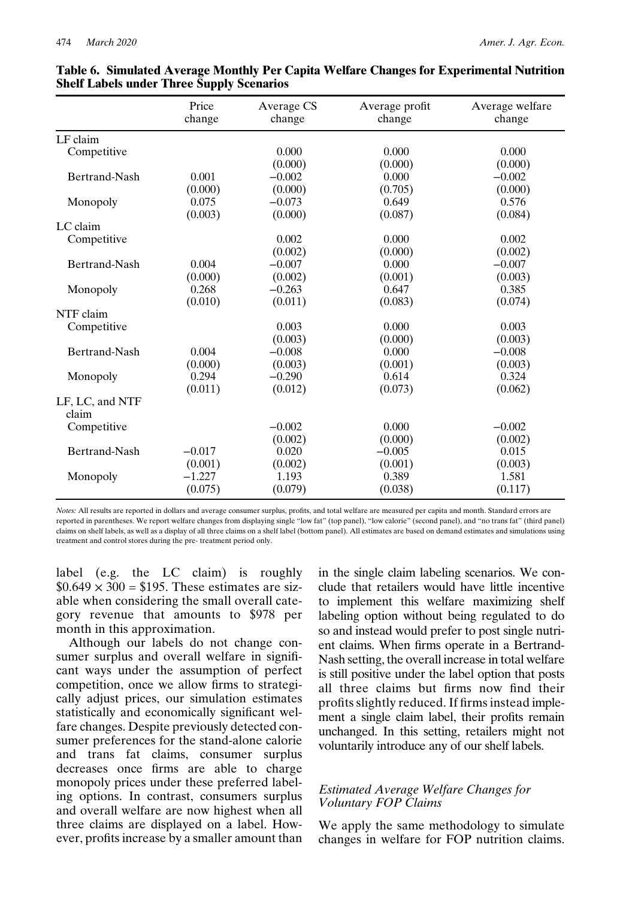|                 | Price    | Average CS | Average profit | Average welfare |
|-----------------|----------|------------|----------------|-----------------|
|                 | change   | change     | change         | change          |
| LF claim        |          |            |                |                 |
| Competitive     |          | 0.000      | 0.000          | 0.000           |
|                 |          | (0.000)    | (0.000)        | (0.000)         |
| Bertrand-Nash   | 0.001    | $-0.002$   | 0.000          | $-0.002$        |
|                 | (0.000)  | (0.000)    | (0.705)        | (0.000)         |
| Monopoly        | 0.075    | $-0.073$   | 0.649          | 0.576           |
|                 | (0.003)  | (0.000)    | (0.087)        | (0.084)         |
| LC claim        |          |            |                |                 |
| Competitive     |          | 0.002      | 0.000          | 0.002           |
|                 |          | (0.002)    | (0.000)        | (0.002)         |
| Bertrand-Nash   | 0.004    | $-0.007$   | 0.000          | $-0.007$        |
|                 | (0.000)  | (0.002)    | (0.001)        | (0.003)         |
| Monopoly        | 0.268    | $-0.263$   | 0.647          | 0.385           |
|                 | (0.010)  | (0.011)    | (0.083)        | (0.074)         |
| NTF claim       |          |            |                |                 |
| Competitive     |          | 0.003      | 0.000          | 0.003           |
|                 |          | (0.003)    | (0.000)        | (0.003)         |
| Bertrand-Nash   | 0.004    | $-0.008$   | 0.000          | $-0.008$        |
|                 | (0.000)  | (0.003)    | (0.001)        | (0.003)         |
| Monopoly        | 0.294    | $-0.290$   | 0.614          | 0.324           |
|                 | (0.011)  | (0.012)    | (0.073)        | (0.062)         |
| LF, LC, and NTF |          |            |                |                 |
| claim           |          |            |                |                 |
| Competitive     |          | $-0.002$   | 0.000          | $-0.002$        |
|                 |          | (0.002)    | (0.000)        | (0.002)         |
| Bertrand-Nash   | $-0.017$ | 0.020      | $-0.005$       | 0.015           |
|                 | (0.001)  | (0.002)    | (0.001)        | (0.003)         |
| Monopoly        | $-1.227$ | 1.193      | 0.389          | 1.581           |
|                 | (0.075)  | (0.079)    | (0.038)        | (0.117)         |

#### Table 6. Simulated Average Monthly Per Capita Welfare Changes for Experimental Nutrition Shelf Labels under Three Supply Scenarios

Notes: All results are reported in dollars and average consumer surplus, profits, and total welfare are measured per capita and month. Standard errors are reported in parentheses. We report welfare changes from displaying single "low fat" (top panel), "low calorie" (second panel), and "no trans fat" (third panel) claims on shelf labels, as well as a display of all three claims on a shelf label (bottom panel). All estimates are based on demand estimates and simulations using treatment and control stores during the pre- treatment period only.

label (e.g. the LC claim) is roughly  $$0.649 \times 300 = $195$ . These estimates are sizable when considering the small overall category revenue that amounts to \$978 per month in this approximation.

Although our labels do not change consumer surplus and overall welfare in significant ways under the assumption of perfect competition, once we allow firms to strategically adjust prices, our simulation estimates statistically and economically significant welfare changes. Despite previously detected consumer preferences for the stand-alone calorie and trans fat claims, consumer surplus decreases once firms are able to charge monopoly prices under these preferred labeling options. In contrast, consumers surplus and overall welfare are now highest when all three claims are displayed on a label. However, profits increase by a smaller amount than

in the single claim labeling scenarios. We conclude that retailers would have little incentive to implement this welfare maximizing shelf labeling option without being regulated to do so and instead would prefer to post single nutrient claims. When firms operate in a Bertrand-Nash setting, the overall increase in total welfare is still positive under the label option that posts all three claims but firms now find their profits slightly reduced. If firms instead implement a single claim label, their profits remain unchanged. In this setting, retailers might not voluntarily introduce any of our shelf labels.

# Estimated Average Welfare Changes for Voluntary FOP Claims

We apply the same methodology to simulate changes in welfare for FOP nutrition claims.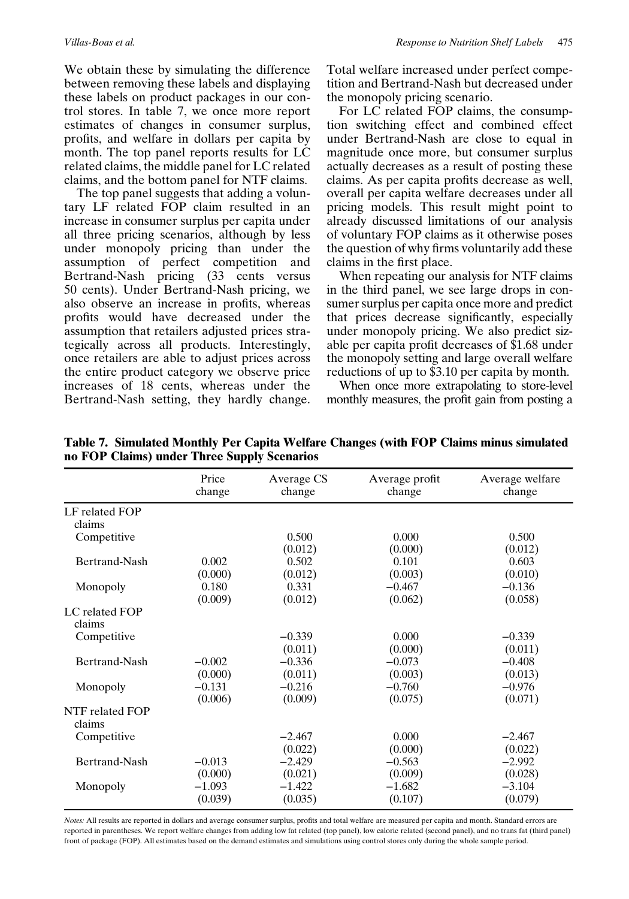We obtain these by simulating the difference between removing these labels and displaying these labels on product packages in our control stores. In table 7, we once more report estimates of changes in consumer surplus, profits, and welfare in dollars per capita by month. The top panel reports results for LC related claims, the middle panel for LC related claims, and the bottom panel for NTF claims.

The top panel suggests that adding a voluntary LF related FOP claim resulted in an increase in consumer surplus per capita under all three pricing scenarios, although by less under monopoly pricing than under the assumption of perfect competition and Bertrand-Nash pricing (33 cents versus 50 cents). Under Bertrand-Nash pricing, we also observe an increase in profits, whereas profits would have decreased under the assumption that retailers adjusted prices strategically across all products. Interestingly, once retailers are able to adjust prices across the entire product category we observe price increases of 18 cents, whereas under the Bertrand-Nash setting, they hardly change. Total welfare increased under perfect competition and Bertrand-Nash but decreased under the monopoly pricing scenario.

For LC related FOP claims, the consumption switching effect and combined effect under Bertrand-Nash are close to equal in magnitude once more, but consumer surplus actually decreases as a result of posting these claims. As per capita profits decrease as well, overall per capita welfare decreases under all pricing models. This result might point to already discussed limitations of our analysis of voluntary FOP claims as it otherwise poses the question of why firms voluntarily add these claims in the first place.

When repeating our analysis for NTF claims in the third panel, we see large drops in consumer surplus per capita once more and predict that prices decrease significantly, especially under monopoly pricing. We also predict sizable per capita profit decreases of \$1.68 under the monopoly setting and large overall welfare reductions of up to \$3.10 per capita by month.

When once more extrapolating to store-level monthly measures, the profit gain from posting a

|                           | Price<br>change | Average CS<br>change | Average profit<br>change | Average welfare<br>change |
|---------------------------|-----------------|----------------------|--------------------------|---------------------------|
| LF related FOP<br>claims  |                 |                      |                          |                           |
|                           |                 |                      |                          |                           |
| Competitive               |                 | 0.500<br>(0.012)     | 0.000<br>(0.000)         | 0.500<br>(0.012)          |
| Bertrand-Nash             | 0.002           | 0.502                | 0.101                    | 0.603                     |
|                           | (0.000)         | (0.012)              | (0.003)                  | (0.010)                   |
| Monopoly                  | 0.180           | 0.331                | $-0.467$                 | $-0.136$                  |
|                           | (0.009)         | (0.012)              | (0.062)                  | (0.058)                   |
| LC related FOP<br>claims  |                 |                      |                          |                           |
| Competitive               |                 | $-0.339$             | 0.000                    | $-0.339$                  |
|                           |                 | (0.011)              | (0.000)                  | (0.011)                   |
| Bertrand-Nash             | $-0.002$        | $-0.336$             | $-0.073$                 | $-0.408$                  |
|                           | (0.000)         | (0.011)              | (0.003)                  | (0.013)                   |
| Monopoly                  | $-0.131$        | $-0.216$             | $-0.760$                 | $-0.976$                  |
|                           | (0.006)         | (0.009)              | (0.075)                  | (0.071)                   |
| NTF related FOP<br>claims |                 |                      |                          |                           |
| Competitive               |                 | $-2.467$             | 0.000                    | $-2.467$                  |
|                           |                 | (0.022)              | (0.000)                  | (0.022)                   |
| Bertrand-Nash             | $-0.013$        | $-2.429$             | $-0.563$                 | $-2.992$                  |
|                           | (0.000)         | (0.021)              | (0.009)                  | (0.028)                   |
| Monopoly                  | $-1.093$        | $-1.422$             | $-1.682$                 | $-3.104$                  |
|                           | (0.039)         | (0.035)              | (0.107)                  | (0.079)                   |

Table 7. Simulated Monthly Per Capita Welfare Changes (with FOP Claims minus simulated no FOP Claims) under Three Supply Scenarios

Notes: All results are reported in dollars and average consumer surplus, profits and total welfare are measured per capita and month. Standard errors are reported in parentheses. We report welfare changes from adding low fat related (top panel), low calorie related (second panel), and no trans fat (third panel) front of package (FOP). All estimates based on the demand estimates and simulations using control stores only during the whole sample period.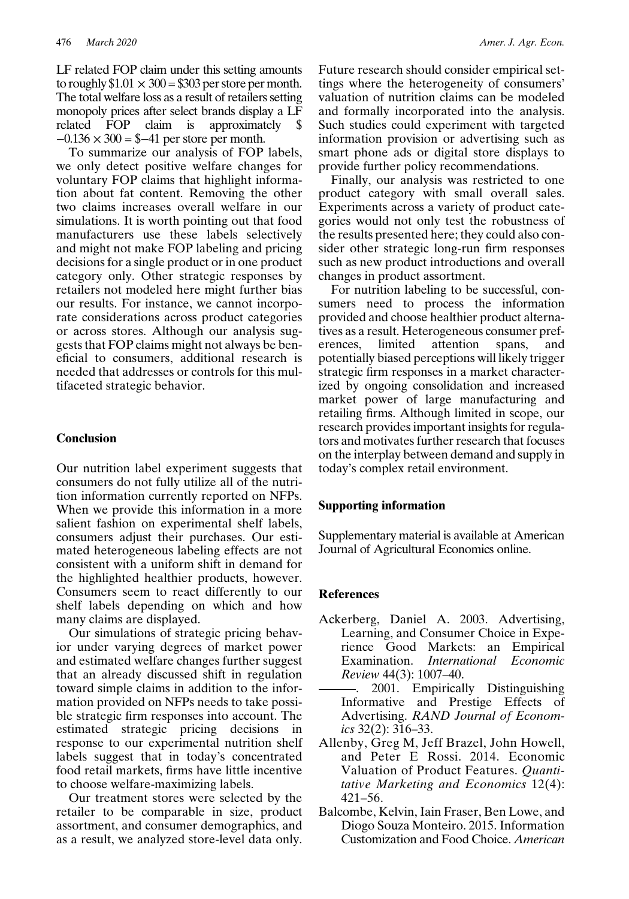LF related FOP claim under this setting amounts to roughly  $$1.01 \times 300 = $303$  per store per month. The total welfare loss as a result of retailers setting monopoly prices after select brands display a LF related FOP claim is approximately  $-0.136 \times 300 =$ \$-41 per store per month.

To summarize our analysis of FOP labels, we only detect positive welfare changes for voluntary FOP claims that highlight information about fat content. Removing the other two claims increases overall welfare in our simulations. It is worth pointing out that food manufacturers use these labels selectively and might not make FOP labeling and pricing decisions for a single product or in one product category only. Other strategic responses by retailers not modeled here might further bias our results. For instance, we cannot incorporate considerations across product categories or across stores. Although our analysis suggests that FOP claims might not always be beneficial to consumers, additional research is needed that addresses or controls for this multifaceted strategic behavior.

# Conclusion

Our nutrition label experiment suggests that consumers do not fully utilize all of the nutrition information currently reported on NFPs. When we provide this information in a more salient fashion on experimental shelf labels, consumers adjust their purchases. Our estimated heterogeneous labeling effects are not consistent with a uniform shift in demand for the highlighted healthier products, however. Consumers seem to react differently to our shelf labels depending on which and how many claims are displayed.

Our simulations of strategic pricing behavior under varying degrees of market power and estimated welfare changes further suggest that an already discussed shift in regulation toward simple claims in addition to the information provided on NFPs needs to take possible strategic firm responses into account. The estimated strategic pricing decisions in response to our experimental nutrition shelf labels suggest that in today's concentrated food retail markets, firms have little incentive to choose welfare-maximizing labels.

Our treatment stores were selected by the retailer to be comparable in size, product assortment, and consumer demographics, and as a result, we analyzed store-level data only. Future research should consider empirical settings where the heterogeneity of consumers' valuation of nutrition claims can be modeled and formally incorporated into the analysis. Such studies could experiment with targeted information provision or advertising such as smart phone ads or digital store displays to provide further policy recommendations.

Finally, our analysis was restricted to one product category with small overall sales. Experiments across a variety of product categories would not only test the robustness of the results presented here; they could also consider other strategic long-run firm responses such as new product introductions and overall changes in product assortment.

For nutrition labeling to be successful, consumers need to process the information provided and choose healthier product alternatives as a result. Heterogeneous consumer preferences, limited attention spans, and potentially biased perceptions will likely trigger strategic firm responses in a market characterized by ongoing consolidation and increased market power of large manufacturing and retailing firms. Although limited in scope, our research provides important insights for regulators and motivates further research that focuses on the interplay between demand and supply in today's complex retail environment.

# Supporting information

Supplementary material is available at American Journal of Agricultural Economics online.

# **References**

- Ackerberg, Daniel A. 2003. Advertising, Learning, and Consumer Choice in Experience Good Markets: an Empirical Examination. International Economic Review 44(3): 1007–40.
	- . 2001. Empirically Distinguishing Informative and Prestige Effects of Advertising. RAND Journal of Economics 32(2): 316–33.
- Allenby, Greg M, Jeff Brazel, John Howell, and Peter E Rossi. 2014. Economic Valuation of Product Features. Ouantitative Marketing and Economics 12(4): 421–56.
- Balcombe, Kelvin, Iain Fraser, Ben Lowe, and Diogo Souza Monteiro. 2015. Information Customization and Food Choice. American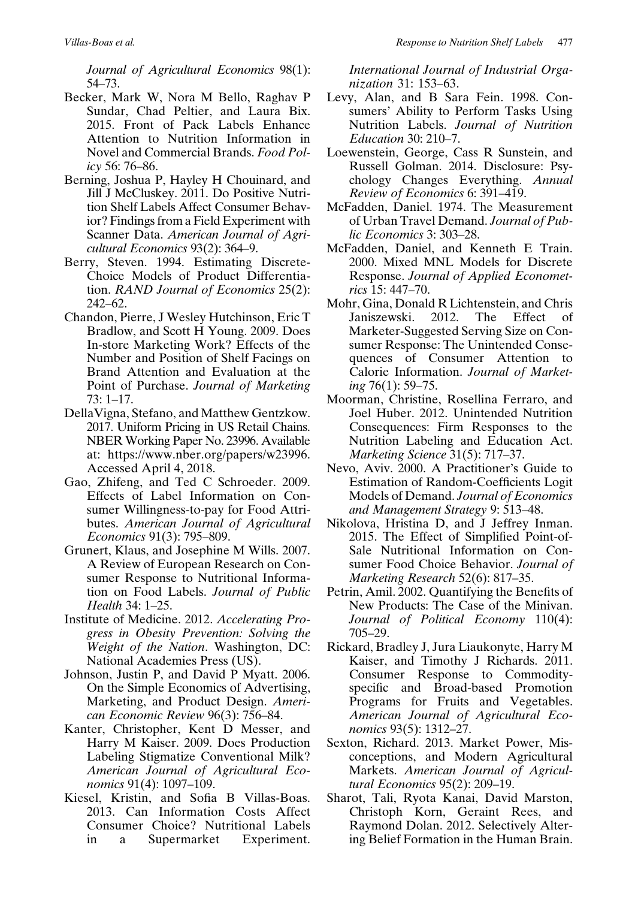Journal of Agricultural Economics 98(1): 54–73.

- Becker, Mark W, Nora M Bello, Raghav P Sundar, Chad Peltier, and Laura Bix. 2015. Front of Pack Labels Enhance Attention to Nutrition Information in Novel and Commercial Brands. Food Policy 56: 76–86.
- Berning, Joshua P, Hayley H Chouinard, and Jill J McCluskey. 2011. Do Positive Nutrition Shelf Labels Affect Consumer Behavior? Findings from a Field Experiment with Scanner Data. American Journal of Agricultural Economics 93(2): 364–9.
- Berry, Steven. 1994. Estimating Discrete-Choice Models of Product Differentiation. RAND Journal of Economics 25(2): 242–62.
- Chandon, Pierre, J Wesley Hutchinson, Eric T Bradlow, and Scott H Young. 2009. Does In-store Marketing Work? Effects of the Number and Position of Shelf Facings on Brand Attention and Evaluation at the Point of Purchase. Journal of Marketing 73: 1–17.
- DellaVigna, Stefano, and Matthew Gentzkow. 2017. Uniform Pricing in US Retail Chains. NBER Working Paper No. 23996. Available at: https://www.nber.org/papers/w23996. Accessed April 4, 2018.
- Gao, Zhifeng, and Ted C Schroeder. 2009. Effects of Label Information on Consumer Willingness-to-pay for Food Attributes. American Journal of Agricultural Economics 91(3): 795–809.
- Grunert, Klaus, and Josephine M Wills. 2007. A Review of European Research on Consumer Response to Nutritional Information on Food Labels. Journal of Public Health 34: 1–25.
- Institute of Medicine. 2012. Accelerating Progress in Obesity Prevention: Solving the Weight of the Nation. Washington, DC: National Academies Press (US).
- Johnson, Justin P, and David P Myatt. 2006. On the Simple Economics of Advertising, Marketing, and Product Design. American Economic Review 96(3): 756–84.
- Kanter, Christopher, Kent D Messer, and Harry M Kaiser. 2009. Does Production Labeling Stigmatize Conventional Milk? American Journal of Agricultural Economics 91(4): 1097–109.
- Kiesel, Kristin, and Sofia B Villas-Boas. 2013. Can Information Costs Affect Consumer Choice? Nutritional Labels<br>in a Supermarket Experiment. in a Supermarket

International Journal of Industrial Organization 31: 153–63.

- Levy, Alan, and B Sara Fein. 1998. Consumers' Ability to Perform Tasks Using Nutrition Labels. Journal of Nutrition Education 30: 210–7.
- Loewenstein, George, Cass R Sunstein, and Russell Golman. 2014. Disclosure: Psychology Changes Everything. Annual Review of Economics 6: 391–419.
- McFadden, Daniel. 1974. The Measurement of Urban Travel Demand. Journal of Public Economics 3: 303–28.
- McFadden, Daniel, and Kenneth E Train. 2000. Mixed MNL Models for Discrete Response. Journal of Applied Econometrics 15: 447–70.
- Mohr, Gina, Donald R Lichtenstein, and Chris Janiszewski. 2012. The Effect of Marketer-Suggested Serving Size on Consumer Response: The Unintended Consequences of Consumer Attention to Calorie Information. Journal of Marketing 76(1): 59–75.
- Moorman, Christine, Rosellina Ferraro, and Joel Huber. 2012. Unintended Nutrition Consequences: Firm Responses to the Nutrition Labeling and Education Act. Marketing Science 31(5): 717–37.
- Nevo, Aviv. 2000. A Practitioner's Guide to Estimation of Random-Coefficients Logit Models of Demand. Journal of Economics and Management Strategy 9: 513–48.
- Nikolova, Hristina D, and J Jeffrey Inman. 2015. The Effect of Simplified Point-of-Sale Nutritional Information on Consumer Food Choice Behavior. Journal of Marketing Research 52(6): 817–35.
- Petrin, Amil. 2002. Quantifying the Benefits of New Products: The Case of the Minivan. Journal of Political Economy 110(4): 705–29.
- Rickard, Bradley J, Jura Liaukonyte, Harry M Kaiser, and Timothy J Richards. 2011. Consumer Response to Commodityspecific and Broad-based Promotion Programs for Fruits and Vegetables. American Journal of Agricultural Economics 93(5): 1312–27.
- Sexton, Richard. 2013. Market Power, Misconceptions, and Modern Agricultural Markets. American Journal of Agricultural Economics 95(2): 209–19.
- Sharot, Tali, Ryota Kanai, David Marston, Christoph Korn, Geraint Rees, and Raymond Dolan. 2012. Selectively Altering Belief Formation in the Human Brain.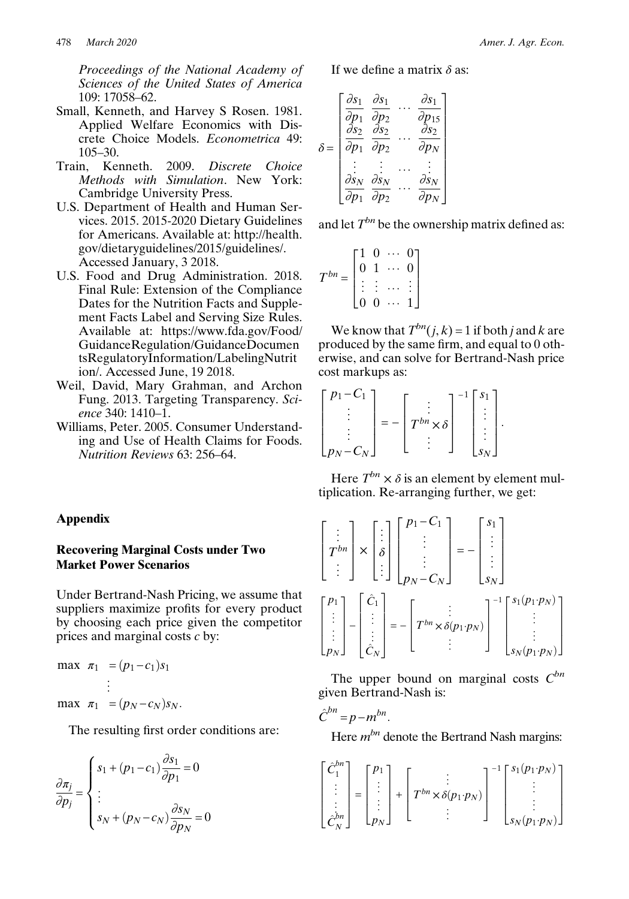Proceedings of the National Academy of Sciences of the United States of America 109: 17058–62.

- Small, Kenneth, and Harvey S Rosen. 1981. Applied Welfare Economics with Discrete Choice Models. Econometrica 49: 105–30.
- Train, Kenneth. 2009. Discrete Choice Methods with Simulation. New York: Cambridge University Press.
- U.S. Department of Health and Human Services. 2015. 2015-2020 Dietary Guidelines for Americans. Available at: http://health. gov/dietaryguidelines/2015/guidelines/. Accessed January, 3 2018.
- U.S. Food and Drug Administration. 2018. Final Rule: Extension of the Compliance Dates for the Nutrition Facts and Supplement Facts Label and Serving Size Rules. Available at: https://www.fda.gov/Food/ GuidanceRegulation/GuidanceDocumen tsRegulatoryInformation/LabelingNutrit ion/. Accessed June, 19 2018.
- Weil, David, Mary Grahman, and Archon Fung. 2013. Targeting Transparency. Science 340: 1410–1.
- Williams, Peter. 2005. Consumer Understanding and Use of Health Claims for Foods. Nutrition Reviews 63: 256–64.

# Appendix

## Recovering Marginal Costs under Two Market Power Scenarios

Under Bertrand-Nash Pricing, we assume that suppliers maximize profits for every product by choosing each price given the competitor prices and marginal costs c by:

$$
\begin{aligned}\n\max \ \pi_1 &= (p_1 - c_1)s_1 \\
&\vdots \\
\max \ \pi_1 &= (p_N - c_N)s_N.\n\end{aligned}
$$

The resulting first order conditions are:

$$
\frac{\partial \pi_j}{\partial p_j} = \begin{cases} s_1 + (p_1 - c_1) \frac{\partial s_1}{\partial p_1} = 0 \\ \vdots \\ s_N + (p_N - c_N) \frac{\partial s_N}{\partial p_N} = 0 \end{cases}
$$

If we define a matrix  $\delta$  as:

|            | $\partial s_1$ $\partial s_1$                                           |  | $\partial s_1$    |
|------------|-------------------------------------------------------------------------|--|-------------------|
|            | $\frac{\partial p_1}{\partial s_2}$ $\frac{\partial p_2}{\partial s_2}$ |  | $\partial p_{15}$ |
|            |                                                                         |  | $\partial s_2$    |
| $\delta =$ | $\partial p_1$ $\partial p_2$                                           |  | $\partial p_N$    |
|            |                                                                         |  |                   |
|            | $\partial s_N$ $\partial s_N$                                           |  | $\partial s_N$    |
|            | $\partial p_1$ $\partial p_2$                                           |  | $\partial p_N$    |

and let  $T^{bn}$  be the ownership matrix defined as:

$$
T^{bn} = \begin{bmatrix} 1 & 0 & \cdots & 0 \\ 0 & 1 & \cdots & 0 \\ \vdots & \vdots & \cdots & \vdots \\ 0 & 0 & \cdots & 1 \end{bmatrix}
$$

We know that  $T^{bn}(i, k) = 1$  if both j and k are produced by the same firm, and equal to 0 otherwise, and can solve for Bertrand-Nash price cost markups as:

$$
\begin{bmatrix} p_1 - C_1 \\ \vdots \\ \vdots \\ p_N - C_N \end{bmatrix} = - \begin{bmatrix} \vdots \\ T^{bn} \times \delta \\ \vdots \end{bmatrix}^{-1} \begin{bmatrix} s_1 \\ \vdots \\ \vdots \\ s_N \end{bmatrix}.
$$

Here  $T^{bn} \times \delta$  is an element by element multiplication. Re-arranging further, we get:

$$
\begin{bmatrix} \vdots \\ T^{bn} \\ \vdots \end{bmatrix} \times \begin{bmatrix} \vdots \\ \delta \\ \vdots \end{bmatrix} \begin{bmatrix} p_1 - C_1 \\ \vdots \\ p_N - C_N \end{bmatrix} = - \begin{bmatrix} s_1 \\ \vdots \\ s_N \end{bmatrix}
$$

$$
\begin{bmatrix} p_1 \\ \vdots \\ p_N \end{bmatrix} - \begin{bmatrix} \hat{c}_1 \\ \vdots \\ \hat{c}_N \end{bmatrix} = - \begin{bmatrix} \vdots \\ T^{bn} \times \delta(p_1 \cdot p_N) \\ \vdots \end{bmatrix}^{-1} \begin{bmatrix} s_1(p_1 \cdot p_N) \\ \vdots \\ s_N(p_1 \cdot p_N) \end{bmatrix}
$$

The upper bound on marginal costs  $C^{bn}$ given Bertrand-Nash is:

$$
\hat{C}^{bn} = p - m^{bn}.
$$

Here  $m^{bn}$  denote the Bertrand Nash margins:

$$
\begin{bmatrix} \hat{C}_1^{bn} \\ \vdots \\ \hat{C}_N^{bn} \end{bmatrix} = \begin{bmatrix} p_1 \\ \vdots \\ \hat{C}_N \end{bmatrix} + \begin{bmatrix} \vdots \\ T^{bn} \times \delta(p_1 \cdot p_N) \\ \vdots \end{bmatrix}^{-1} \begin{bmatrix} s_1(p_1 \cdot p_N) \\ \vdots \\ s_N(p_1 \cdot p_N) \end{bmatrix}
$$